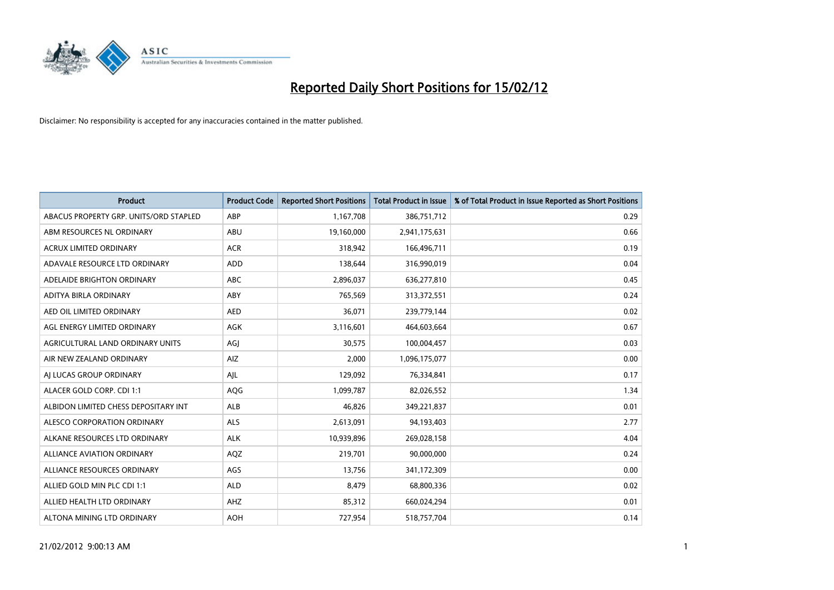

| <b>Product</b>                         | <b>Product Code</b> | <b>Reported Short Positions</b> | <b>Total Product in Issue</b> | % of Total Product in Issue Reported as Short Positions |
|----------------------------------------|---------------------|---------------------------------|-------------------------------|---------------------------------------------------------|
| ABACUS PROPERTY GRP. UNITS/ORD STAPLED | ABP                 | 1,167,708                       | 386,751,712                   | 0.29                                                    |
| ABM RESOURCES NL ORDINARY              | ABU                 | 19,160,000                      | 2,941,175,631                 | 0.66                                                    |
| <b>ACRUX LIMITED ORDINARY</b>          | <b>ACR</b>          | 318,942                         | 166,496,711                   | 0.19                                                    |
| ADAVALE RESOURCE LTD ORDINARY          | ADD                 | 138,644                         | 316,990,019                   | 0.04                                                    |
| ADELAIDE BRIGHTON ORDINARY             | <b>ABC</b>          | 2,896,037                       | 636,277,810                   | 0.45                                                    |
| ADITYA BIRLA ORDINARY                  | ABY                 | 765,569                         | 313,372,551                   | 0.24                                                    |
| AED OIL LIMITED ORDINARY               | <b>AED</b>          | 36.071                          | 239,779,144                   | 0.02                                                    |
| AGL ENERGY LIMITED ORDINARY            | AGK                 | 3,116,601                       | 464,603,664                   | 0.67                                                    |
| AGRICULTURAL LAND ORDINARY UNITS       | AGJ                 | 30,575                          | 100,004,457                   | 0.03                                                    |
| AIR NEW ZEALAND ORDINARY               | AIZ                 | 2,000                           | 1,096,175,077                 | 0.00                                                    |
| AI LUCAS GROUP ORDINARY                | AJL                 | 129,092                         | 76,334,841                    | 0.17                                                    |
| ALACER GOLD CORP. CDI 1:1              | AQG                 | 1,099,787                       | 82,026,552                    | 1.34                                                    |
| ALBIDON LIMITED CHESS DEPOSITARY INT   | <b>ALB</b>          | 46.826                          | 349,221,837                   | 0.01                                                    |
| ALESCO CORPORATION ORDINARY            | <b>ALS</b>          | 2,613,091                       | 94,193,403                    | 2.77                                                    |
| ALKANE RESOURCES LTD ORDINARY          | <b>ALK</b>          | 10,939,896                      | 269,028,158                   | 4.04                                                    |
| <b>ALLIANCE AVIATION ORDINARY</b>      | AQZ                 | 219,701                         | 90,000,000                    | 0.24                                                    |
| ALLIANCE RESOURCES ORDINARY            | AGS                 | 13,756                          | 341,172,309                   | 0.00                                                    |
| ALLIED GOLD MIN PLC CDI 1:1            | <b>ALD</b>          | 8,479                           | 68,800,336                    | 0.02                                                    |
| ALLIED HEALTH LTD ORDINARY             | AHZ                 | 85,312                          | 660,024,294                   | 0.01                                                    |
| ALTONA MINING LTD ORDINARY             | <b>AOH</b>          | 727,954                         | 518,757,704                   | 0.14                                                    |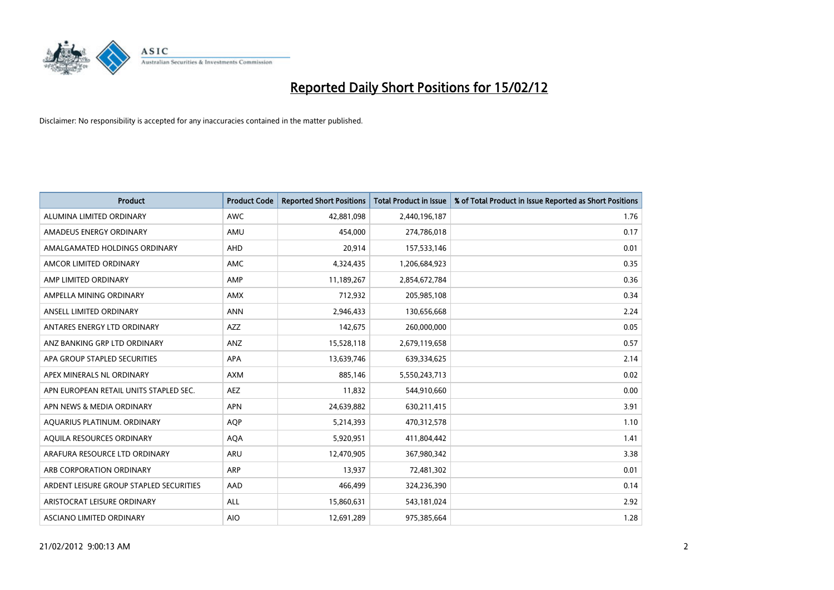

| <b>Product</b>                          | <b>Product Code</b> | <b>Reported Short Positions</b> | <b>Total Product in Issue</b> | % of Total Product in Issue Reported as Short Positions |
|-----------------------------------------|---------------------|---------------------------------|-------------------------------|---------------------------------------------------------|
| ALUMINA LIMITED ORDINARY                | <b>AWC</b>          | 42,881,098                      | 2,440,196,187                 | 1.76                                                    |
| AMADEUS ENERGY ORDINARY                 | AMU                 | 454,000                         | 274,786,018                   | 0.17                                                    |
| AMALGAMATED HOLDINGS ORDINARY           | AHD                 | 20,914                          | 157,533,146                   | 0.01                                                    |
| AMCOR LIMITED ORDINARY                  | AMC                 | 4,324,435                       | 1,206,684,923                 | 0.35                                                    |
| AMP LIMITED ORDINARY                    | AMP                 | 11,189,267                      | 2,854,672,784                 | 0.36                                                    |
| AMPELLA MINING ORDINARY                 | <b>AMX</b>          | 712,932                         | 205,985,108                   | 0.34                                                    |
| ANSELL LIMITED ORDINARY                 | <b>ANN</b>          | 2,946,433                       | 130,656,668                   | 2.24                                                    |
| ANTARES ENERGY LTD ORDINARY             | AZZ                 | 142,675                         | 260,000,000                   | 0.05                                                    |
| ANZ BANKING GRP LTD ORDINARY            | ANZ                 | 15,528,118                      | 2,679,119,658                 | 0.57                                                    |
| APA GROUP STAPLED SECURITIES            | <b>APA</b>          | 13,639,746                      | 639,334,625                   | 2.14                                                    |
| APEX MINERALS NL ORDINARY               | <b>AXM</b>          | 885,146                         | 5,550,243,713                 | 0.02                                                    |
| APN EUROPEAN RETAIL UNITS STAPLED SEC.  | <b>AEZ</b>          | 11,832                          | 544,910,660                   | 0.00                                                    |
| APN NEWS & MEDIA ORDINARY               | <b>APN</b>          | 24,639,882                      | 630,211,415                   | 3.91                                                    |
| AQUARIUS PLATINUM. ORDINARY             | <b>AOP</b>          | 5,214,393                       | 470,312,578                   | 1.10                                                    |
| AQUILA RESOURCES ORDINARY               | <b>AQA</b>          | 5,920,951                       | 411,804,442                   | 1.41                                                    |
| ARAFURA RESOURCE LTD ORDINARY           | ARU                 | 12,470,905                      | 367,980,342                   | 3.38                                                    |
| ARB CORPORATION ORDINARY                | <b>ARP</b>          | 13,937                          | 72,481,302                    | 0.01                                                    |
| ARDENT LEISURE GROUP STAPLED SECURITIES | AAD                 | 466,499                         | 324,236,390                   | 0.14                                                    |
| ARISTOCRAT LEISURE ORDINARY             | ALL                 | 15,860,631                      | 543,181,024                   | 2.92                                                    |
| ASCIANO LIMITED ORDINARY                | <b>AIO</b>          | 12,691,289                      | 975,385,664                   | 1.28                                                    |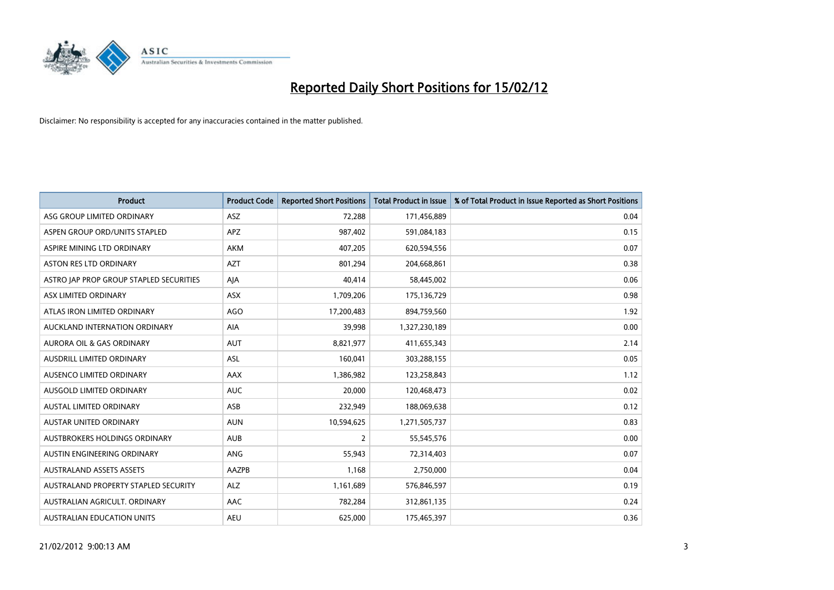

| <b>Product</b>                          | <b>Product Code</b> | <b>Reported Short Positions</b> | <b>Total Product in Issue</b> | % of Total Product in Issue Reported as Short Positions |
|-----------------------------------------|---------------------|---------------------------------|-------------------------------|---------------------------------------------------------|
| ASG GROUP LIMITED ORDINARY              | ASZ                 | 72,288                          | 171,456,889                   | 0.04                                                    |
| ASPEN GROUP ORD/UNITS STAPLED           | <b>APZ</b>          | 987,402                         | 591,084,183                   | 0.15                                                    |
| ASPIRE MINING LTD ORDINARY              | <b>AKM</b>          | 407,205                         | 620,594,556                   | 0.07                                                    |
| ASTON RES LTD ORDINARY                  | <b>AZT</b>          | 801,294                         | 204,668,861                   | 0.38                                                    |
| ASTRO JAP PROP GROUP STAPLED SECURITIES | AJA                 | 40,414                          | 58,445,002                    | 0.06                                                    |
| ASX LIMITED ORDINARY                    | ASX                 | 1,709,206                       | 175,136,729                   | 0.98                                                    |
| ATLAS IRON LIMITED ORDINARY             | <b>AGO</b>          | 17,200,483                      | 894,759,560                   | 1.92                                                    |
| AUCKLAND INTERNATION ORDINARY           | AIA                 | 39,998                          | 1,327,230,189                 | 0.00                                                    |
| <b>AURORA OIL &amp; GAS ORDINARY</b>    | <b>AUT</b>          | 8,821,977                       | 411,655,343                   | 2.14                                                    |
| AUSDRILL LIMITED ORDINARY               | <b>ASL</b>          | 160,041                         | 303,288,155                   | 0.05                                                    |
| AUSENCO LIMITED ORDINARY                | AAX                 | 1,386,982                       | 123,258,843                   | 1.12                                                    |
| AUSGOLD LIMITED ORDINARY                | <b>AUC</b>          | 20,000                          | 120,468,473                   | 0.02                                                    |
| AUSTAL LIMITED ORDINARY                 | ASB                 | 232,949                         | 188,069,638                   | 0.12                                                    |
| <b>AUSTAR UNITED ORDINARY</b>           | <b>AUN</b>          | 10,594,625                      | 1,271,505,737                 | 0.83                                                    |
| AUSTBROKERS HOLDINGS ORDINARY           | <b>AUB</b>          | $\overline{2}$                  | 55,545,576                    | 0.00                                                    |
| AUSTIN ENGINEERING ORDINARY             | ANG                 | 55,943                          | 72,314,403                    | 0.07                                                    |
| <b>AUSTRALAND ASSETS ASSETS</b>         | AAZPB               | 1,168                           | 2,750,000                     | 0.04                                                    |
| AUSTRALAND PROPERTY STAPLED SECURITY    | <b>ALZ</b>          | 1,161,689                       | 576,846,597                   | 0.19                                                    |
| AUSTRALIAN AGRICULT, ORDINARY           | AAC                 | 782,284                         | 312,861,135                   | 0.24                                                    |
| AUSTRALIAN EDUCATION UNITS              | <b>AEU</b>          | 625,000                         | 175,465,397                   | 0.36                                                    |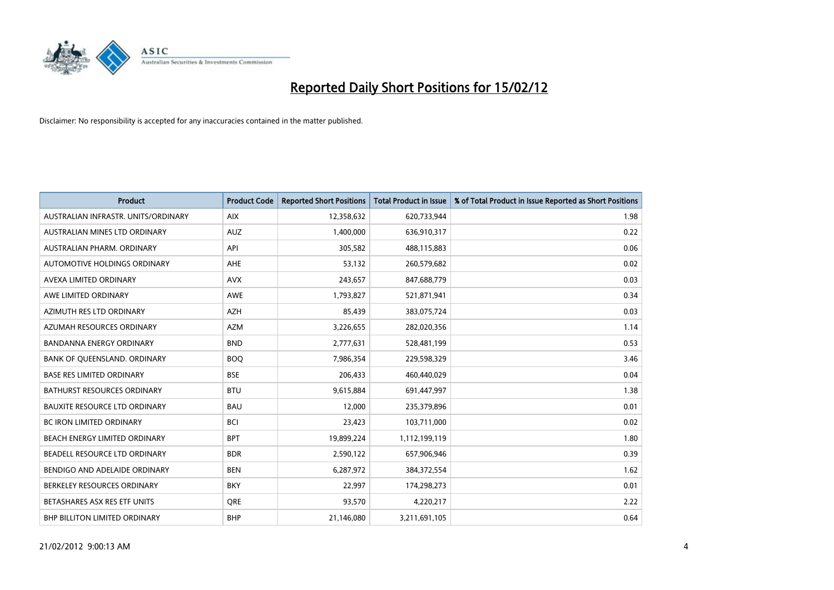

| <b>Product</b>                       | <b>Product Code</b> | <b>Reported Short Positions</b> | <b>Total Product in Issue</b> | % of Total Product in Issue Reported as Short Positions |
|--------------------------------------|---------------------|---------------------------------|-------------------------------|---------------------------------------------------------|
| AUSTRALIAN INFRASTR, UNITS/ORDINARY  | <b>AIX</b>          | 12,358,632                      | 620,733,944                   | 1.98                                                    |
| AUSTRALIAN MINES LTD ORDINARY        | <b>AUZ</b>          | 1,400,000                       | 636,910,317                   | 0.22                                                    |
| AUSTRALIAN PHARM, ORDINARY           | API                 | 305,582                         | 488,115,883                   | 0.06                                                    |
| AUTOMOTIVE HOLDINGS ORDINARY         | AHE                 | 53,132                          | 260,579,682                   | 0.02                                                    |
| AVEXA LIMITED ORDINARY               | <b>AVX</b>          | 243,657                         | 847,688,779                   | 0.03                                                    |
| AWE LIMITED ORDINARY                 | AWE                 | 1,793,827                       | 521,871,941                   | 0.34                                                    |
| AZIMUTH RES LTD ORDINARY             | AZH                 | 85,439                          | 383,075,724                   | 0.03                                                    |
| AZUMAH RESOURCES ORDINARY            | <b>AZM</b>          | 3,226,655                       | 282,020,356                   | 1.14                                                    |
| <b>BANDANNA ENERGY ORDINARY</b>      | <b>BND</b>          | 2,777,631                       | 528,481,199                   | 0.53                                                    |
| BANK OF QUEENSLAND. ORDINARY         | <b>BOQ</b>          | 7,986,354                       | 229,598,329                   | 3.46                                                    |
| <b>BASE RES LIMITED ORDINARY</b>     | <b>BSE</b>          | 206,433                         | 460,440,029                   | 0.04                                                    |
| <b>BATHURST RESOURCES ORDINARY</b>   | <b>BTU</b>          | 9,615,884                       | 691,447,997                   | 1.38                                                    |
| <b>BAUXITE RESOURCE LTD ORDINARY</b> | <b>BAU</b>          | 12,000                          | 235,379,896                   | 0.01                                                    |
| <b>BC IRON LIMITED ORDINARY</b>      | <b>BCI</b>          | 23,423                          | 103,711,000                   | 0.02                                                    |
| BEACH ENERGY LIMITED ORDINARY        | <b>BPT</b>          | 19,899,224                      | 1,112,199,119                 | 1.80                                                    |
| BEADELL RESOURCE LTD ORDINARY        | <b>BDR</b>          | 2,590,122                       | 657,906,946                   | 0.39                                                    |
| BENDIGO AND ADELAIDE ORDINARY        | <b>BEN</b>          | 6,287,972                       | 384,372,554                   | 1.62                                                    |
| BERKELEY RESOURCES ORDINARY          | <b>BKY</b>          | 22,997                          | 174,298,273                   | 0.01                                                    |
| BETASHARES ASX RES ETF UNITS         | <b>ORE</b>          | 93,570                          | 4,220,217                     | 2.22                                                    |
| BHP BILLITON LIMITED ORDINARY        | <b>BHP</b>          | 21,146,080                      | 3,211,691,105                 | 0.64                                                    |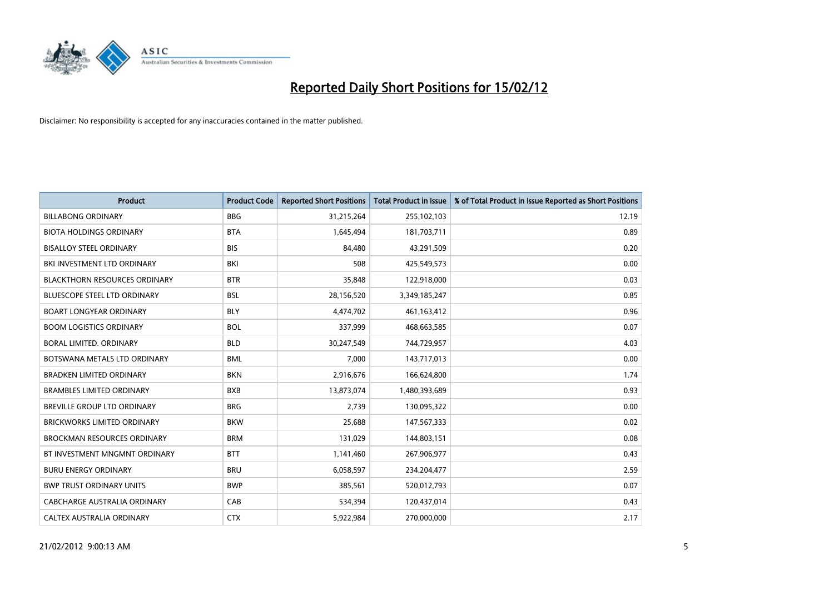

| <b>Product</b>                       | <b>Product Code</b> | <b>Reported Short Positions</b> | <b>Total Product in Issue</b> | % of Total Product in Issue Reported as Short Positions |
|--------------------------------------|---------------------|---------------------------------|-------------------------------|---------------------------------------------------------|
| <b>BILLABONG ORDINARY</b>            | <b>BBG</b>          | 31,215,264                      | 255,102,103                   | 12.19                                                   |
| <b>BIOTA HOLDINGS ORDINARY</b>       | <b>BTA</b>          | 1,645,494                       | 181,703,711                   | 0.89                                                    |
| <b>BISALLOY STEEL ORDINARY</b>       | <b>BIS</b>          | 84,480                          | 43,291,509                    | 0.20                                                    |
| BKI INVESTMENT LTD ORDINARY          | <b>BKI</b>          | 508                             | 425,549,573                   | 0.00                                                    |
| <b>BLACKTHORN RESOURCES ORDINARY</b> | <b>BTR</b>          | 35,848                          | 122,918,000                   | 0.03                                                    |
| <b>BLUESCOPE STEEL LTD ORDINARY</b>  | <b>BSL</b>          | 28,156,520                      | 3,349,185,247                 | 0.85                                                    |
| <b>BOART LONGYEAR ORDINARY</b>       | <b>BLY</b>          | 4,474,702                       | 461,163,412                   | 0.96                                                    |
| <b>BOOM LOGISTICS ORDINARY</b>       | <b>BOL</b>          | 337,999                         | 468,663,585                   | 0.07                                                    |
| <b>BORAL LIMITED, ORDINARY</b>       | <b>BLD</b>          | 30,247,549                      | 744,729,957                   | 4.03                                                    |
| BOTSWANA METALS LTD ORDINARY         | <b>BML</b>          | 7,000                           | 143,717,013                   | 0.00                                                    |
| BRADKEN LIMITED ORDINARY             | <b>BKN</b>          | 2,916,676                       | 166,624,800                   | 1.74                                                    |
| <b>BRAMBLES LIMITED ORDINARY</b>     | <b>BXB</b>          | 13,873,074                      | 1,480,393,689                 | 0.93                                                    |
| BREVILLE GROUP LTD ORDINARY          | <b>BRG</b>          | 2,739                           | 130,095,322                   | 0.00                                                    |
| <b>BRICKWORKS LIMITED ORDINARY</b>   | <b>BKW</b>          | 25,688                          | 147,567,333                   | 0.02                                                    |
| <b>BROCKMAN RESOURCES ORDINARY</b>   | <b>BRM</b>          | 131,029                         | 144,803,151                   | 0.08                                                    |
| BT INVESTMENT MNGMNT ORDINARY        | <b>BTT</b>          | 1,141,460                       | 267,906,977                   | 0.43                                                    |
| <b>BURU ENERGY ORDINARY</b>          | <b>BRU</b>          | 6,058,597                       | 234,204,477                   | 2.59                                                    |
| <b>BWP TRUST ORDINARY UNITS</b>      | <b>BWP</b>          | 385,561                         | 520,012,793                   | 0.07                                                    |
| <b>CABCHARGE AUSTRALIA ORDINARY</b>  | CAB                 | 534,394                         | 120,437,014                   | 0.43                                                    |
| CALTEX AUSTRALIA ORDINARY            | <b>CTX</b>          | 5,922,984                       | 270,000,000                   | 2.17                                                    |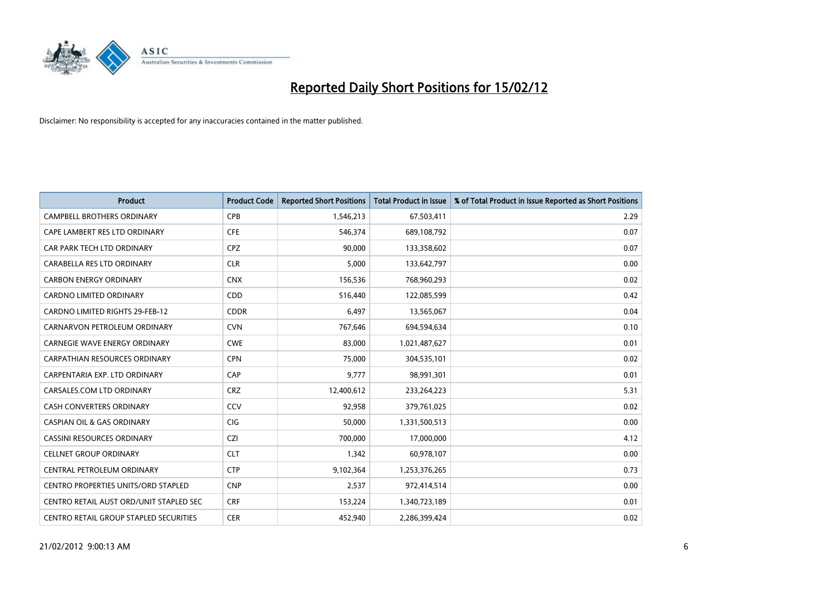

| <b>Product</b>                          | <b>Product Code</b> | <b>Reported Short Positions</b> | <b>Total Product in Issue</b> | % of Total Product in Issue Reported as Short Positions |
|-----------------------------------------|---------------------|---------------------------------|-------------------------------|---------------------------------------------------------|
| <b>CAMPBELL BROTHERS ORDINARY</b>       | <b>CPB</b>          | 1,546,213                       | 67,503,411                    | 2.29                                                    |
| CAPE LAMBERT RES LTD ORDINARY           | <b>CFE</b>          | 546,374                         | 689,108,792                   | 0.07                                                    |
| CAR PARK TECH LTD ORDINARY              | <b>CPZ</b>          | 90,000                          | 133,358,602                   | 0.07                                                    |
| CARABELLA RES LTD ORDINARY              | <b>CLR</b>          | 5,000                           | 133,642,797                   | 0.00                                                    |
| <b>CARBON ENERGY ORDINARY</b>           | <b>CNX</b>          | 156,536                         | 768,960,293                   | 0.02                                                    |
| <b>CARDNO LIMITED ORDINARY</b>          | CDD                 | 516,440                         | 122,085,599                   | 0.42                                                    |
| <b>CARDNO LIMITED RIGHTS 29-FEB-12</b>  | <b>CDDR</b>         | 6,497                           | 13,565,067                    | 0.04                                                    |
| CARNARVON PETROLEUM ORDINARY            | <b>CVN</b>          | 767,646                         | 694,594,634                   | 0.10                                                    |
| CARNEGIE WAVE ENERGY ORDINARY           | <b>CWE</b>          | 83,000                          | 1,021,487,627                 | 0.01                                                    |
| <b>CARPATHIAN RESOURCES ORDINARY</b>    | <b>CPN</b>          | 75,000                          | 304,535,101                   | 0.02                                                    |
| CARPENTARIA EXP. LTD ORDINARY           | CAP                 | 9,777                           | 98,991,301                    | 0.01                                                    |
| CARSALES.COM LTD ORDINARY               | <b>CRZ</b>          | 12,400,612                      | 233,264,223                   | 5.31                                                    |
| CASH CONVERTERS ORDINARY                | CCV                 | 92,958                          | 379,761,025                   | 0.02                                                    |
| <b>CASPIAN OIL &amp; GAS ORDINARY</b>   | CIG                 | 50,000                          | 1,331,500,513                 | 0.00                                                    |
| <b>CASSINI RESOURCES ORDINARY</b>       | <b>CZI</b>          | 700,000                         | 17,000,000                    | 4.12                                                    |
| <b>CELLNET GROUP ORDINARY</b>           | <b>CLT</b>          | 1,342                           | 60,978,107                    | 0.00                                                    |
| CENTRAL PETROLEUM ORDINARY              | <b>CTP</b>          | 9,102,364                       | 1,253,376,265                 | 0.73                                                    |
| CENTRO PROPERTIES UNITS/ORD STAPLED     | <b>CNP</b>          | 2,537                           | 972,414,514                   | 0.00                                                    |
| CENTRO RETAIL AUST ORD/UNIT STAPLED SEC | <b>CRF</b>          | 153,224                         | 1,340,723,189                 | 0.01                                                    |
| CENTRO RETAIL GROUP STAPLED SECURITIES  | <b>CER</b>          | 452,940                         | 2,286,399,424                 | 0.02                                                    |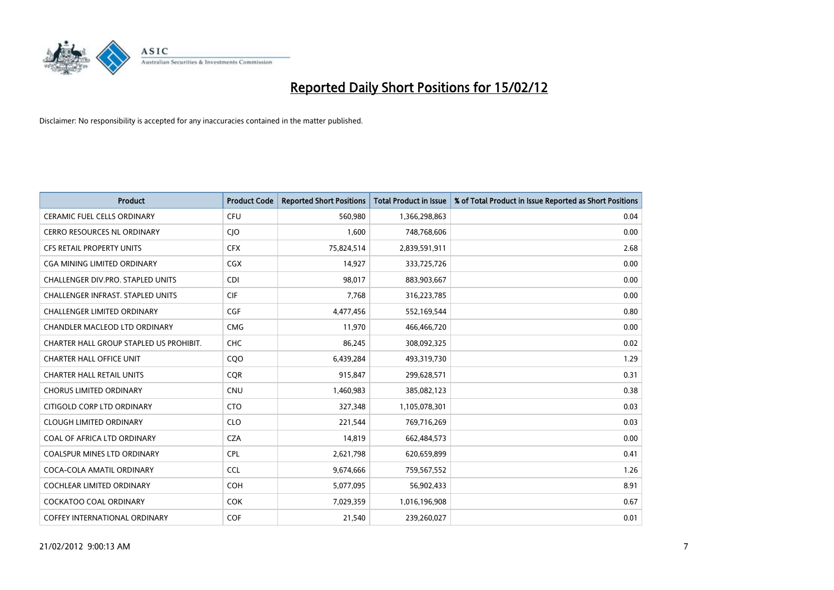

| <b>Product</b>                           | <b>Product Code</b> | <b>Reported Short Positions</b> | <b>Total Product in Issue</b> | % of Total Product in Issue Reported as Short Positions |
|------------------------------------------|---------------------|---------------------------------|-------------------------------|---------------------------------------------------------|
| <b>CERAMIC FUEL CELLS ORDINARY</b>       | <b>CFU</b>          | 560,980                         | 1,366,298,863                 | 0.04                                                    |
| CERRO RESOURCES NL ORDINARY              | <b>CIO</b>          | 1,600                           | 748,768,606                   | 0.00                                                    |
| <b>CFS RETAIL PROPERTY UNITS</b>         | <b>CFX</b>          | 75,824,514                      | 2,839,591,911                 | 2.68                                                    |
| CGA MINING LIMITED ORDINARY              | CGX                 | 14,927                          | 333,725,726                   | 0.00                                                    |
| CHALLENGER DIV.PRO. STAPLED UNITS        | <b>CDI</b>          | 98,017                          | 883,903,667                   | 0.00                                                    |
| <b>CHALLENGER INFRAST, STAPLED UNITS</b> | <b>CIF</b>          | 7,768                           | 316,223,785                   | 0.00                                                    |
| <b>CHALLENGER LIMITED ORDINARY</b>       | <b>CGF</b>          | 4,477,456                       | 552,169,544                   | 0.80                                                    |
| CHANDLER MACLEOD LTD ORDINARY            | <b>CMG</b>          | 11,970                          | 466,466,720                   | 0.00                                                    |
| CHARTER HALL GROUP STAPLED US PROHIBIT.  | <b>CHC</b>          | 86,245                          | 308,092,325                   | 0.02                                                    |
| <b>CHARTER HALL OFFICE UNIT</b>          | CQ <sub>O</sub>     | 6,439,284                       | 493,319,730                   | 1.29                                                    |
| <b>CHARTER HALL RETAIL UNITS</b>         | <b>COR</b>          | 915,847                         | 299,628,571                   | 0.31                                                    |
| <b>CHORUS LIMITED ORDINARY</b>           | <b>CNU</b>          | 1,460,983                       | 385,082,123                   | 0.38                                                    |
| CITIGOLD CORP LTD ORDINARY               | <b>CTO</b>          | 327,348                         | 1,105,078,301                 | 0.03                                                    |
| <b>CLOUGH LIMITED ORDINARY</b>           | <b>CLO</b>          | 221,544                         | 769,716,269                   | 0.03                                                    |
| COAL OF AFRICA LTD ORDINARY              | <b>CZA</b>          | 14,819                          | 662,484,573                   | 0.00                                                    |
| COALSPUR MINES LTD ORDINARY              | <b>CPL</b>          | 2,621,798                       | 620,659,899                   | 0.41                                                    |
| COCA-COLA AMATIL ORDINARY                | <b>CCL</b>          | 9,674,666                       | 759,567,552                   | 1.26                                                    |
| <b>COCHLEAR LIMITED ORDINARY</b>         | <b>COH</b>          | 5,077,095                       | 56,902,433                    | 8.91                                                    |
| <b>COCKATOO COAL ORDINARY</b>            | <b>COK</b>          | 7,029,359                       | 1,016,196,908                 | 0.67                                                    |
| COFFEY INTERNATIONAL ORDINARY            | <b>COF</b>          | 21,540                          | 239,260,027                   | 0.01                                                    |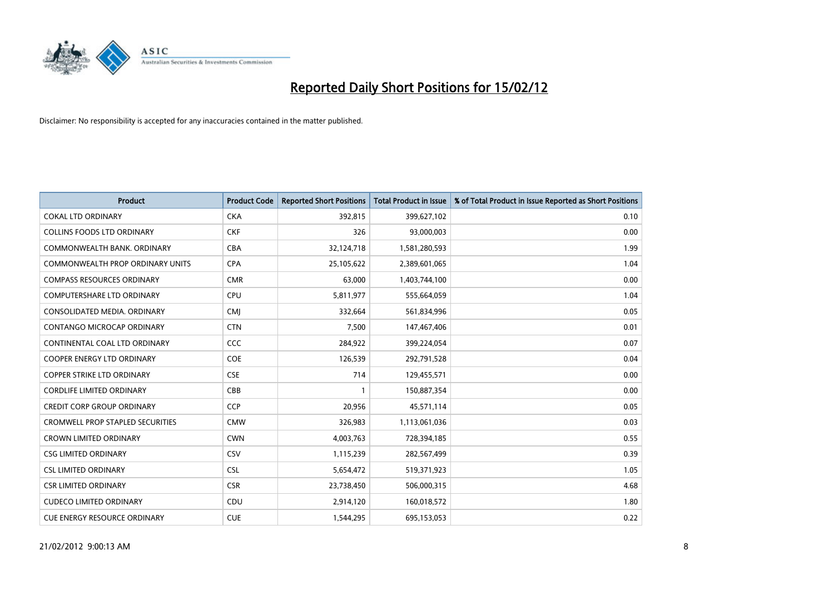

| <b>Product</b>                          | <b>Product Code</b> | <b>Reported Short Positions</b> | <b>Total Product in Issue</b> | % of Total Product in Issue Reported as Short Positions |
|-----------------------------------------|---------------------|---------------------------------|-------------------------------|---------------------------------------------------------|
| <b>COKAL LTD ORDINARY</b>               | <b>CKA</b>          | 392,815                         | 399,627,102                   | 0.10                                                    |
| COLLINS FOODS LTD ORDINARY              | <b>CKF</b>          | 326                             | 93,000,003                    | 0.00                                                    |
| COMMONWEALTH BANK, ORDINARY             | <b>CBA</b>          | 32,124,718                      | 1,581,280,593                 | 1.99                                                    |
| <b>COMMONWEALTH PROP ORDINARY UNITS</b> | <b>CPA</b>          | 25,105,622                      | 2,389,601,065                 | 1.04                                                    |
| <b>COMPASS RESOURCES ORDINARY</b>       | <b>CMR</b>          | 63,000                          | 1,403,744,100                 | 0.00                                                    |
| <b>COMPUTERSHARE LTD ORDINARY</b>       | <b>CPU</b>          | 5,811,977                       | 555,664,059                   | 1.04                                                    |
| CONSOLIDATED MEDIA, ORDINARY            | <b>CMI</b>          | 332,664                         | 561,834,996                   | 0.05                                                    |
| CONTANGO MICROCAP ORDINARY              | <b>CTN</b>          | 7,500                           | 147,467,406                   | 0.01                                                    |
| CONTINENTAL COAL LTD ORDINARY           | CCC                 | 284,922                         | 399,224,054                   | 0.07                                                    |
| <b>COOPER ENERGY LTD ORDINARY</b>       | <b>COE</b>          | 126,539                         | 292,791,528                   | 0.04                                                    |
| COPPER STRIKE LTD ORDINARY              | <b>CSE</b>          | 714                             | 129,455,571                   | 0.00                                                    |
| <b>CORDLIFE LIMITED ORDINARY</b>        | CBB                 | 1                               | 150,887,354                   | 0.00                                                    |
| <b>CREDIT CORP GROUP ORDINARY</b>       | <b>CCP</b>          | 20,956                          | 45,571,114                    | 0.05                                                    |
| <b>CROMWELL PROP STAPLED SECURITIES</b> | <b>CMW</b>          | 326,983                         | 1,113,061,036                 | 0.03                                                    |
| <b>CROWN LIMITED ORDINARY</b>           | <b>CWN</b>          | 4,003,763                       | 728,394,185                   | 0.55                                                    |
| <b>CSG LIMITED ORDINARY</b>             | CSV                 | 1,115,239                       | 282,567,499                   | 0.39                                                    |
| <b>CSL LIMITED ORDINARY</b>             | <b>CSL</b>          | 5,654,472                       | 519,371,923                   | 1.05                                                    |
| <b>CSR LIMITED ORDINARY</b>             | <b>CSR</b>          | 23,738,450                      | 506,000,315                   | 4.68                                                    |
| <b>CUDECO LIMITED ORDINARY</b>          | CDU                 | 2,914,120                       | 160,018,572                   | 1.80                                                    |
| CUE ENERGY RESOURCE ORDINARY            | <b>CUE</b>          | 1,544,295                       | 695,153,053                   | 0.22                                                    |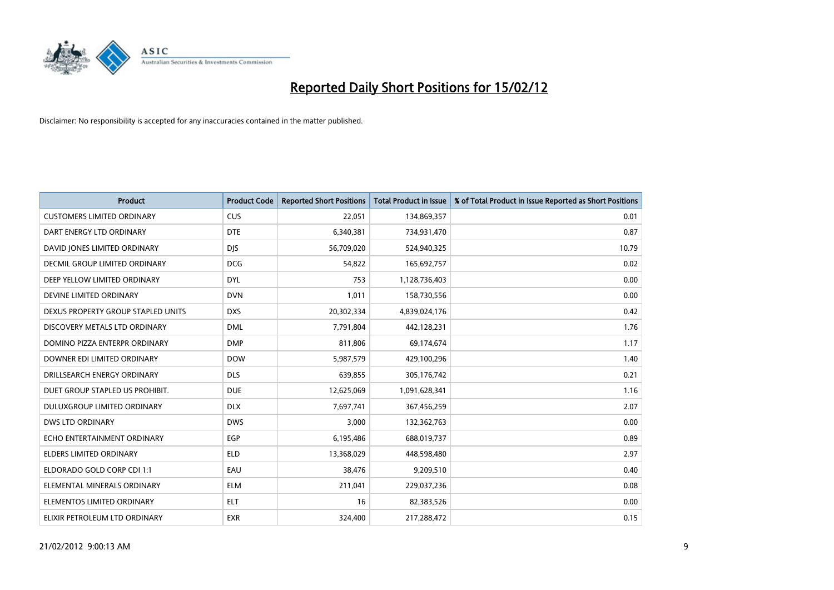

| <b>Product</b>                       | <b>Product Code</b> | <b>Reported Short Positions</b> | <b>Total Product in Issue</b> | % of Total Product in Issue Reported as Short Positions |
|--------------------------------------|---------------------|---------------------------------|-------------------------------|---------------------------------------------------------|
| <b>CUSTOMERS LIMITED ORDINARY</b>    | <b>CUS</b>          | 22,051                          | 134,869,357                   | 0.01                                                    |
| DART ENERGY LTD ORDINARY             | <b>DTE</b>          | 6,340,381                       | 734,931,470                   | 0.87                                                    |
| DAVID JONES LIMITED ORDINARY         | <b>DJS</b>          | 56,709,020                      | 524,940,325                   | 10.79                                                   |
| <b>DECMIL GROUP LIMITED ORDINARY</b> | <b>DCG</b>          | 54,822                          | 165,692,757                   | 0.02                                                    |
| DEEP YELLOW LIMITED ORDINARY         | <b>DYL</b>          | 753                             | 1,128,736,403                 | 0.00                                                    |
| DEVINE LIMITED ORDINARY              | <b>DVN</b>          | 1,011                           | 158,730,556                   | 0.00                                                    |
| DEXUS PROPERTY GROUP STAPLED UNITS   | <b>DXS</b>          | 20,302,334                      | 4,839,024,176                 | 0.42                                                    |
| DISCOVERY METALS LTD ORDINARY        | <b>DML</b>          | 7,791,804                       | 442,128,231                   | 1.76                                                    |
| DOMINO PIZZA ENTERPR ORDINARY        | <b>DMP</b>          | 811,806                         | 69,174,674                    | 1.17                                                    |
| DOWNER EDI LIMITED ORDINARY          | <b>DOW</b>          | 5,987,579                       | 429,100,296                   | 1.40                                                    |
| DRILLSEARCH ENERGY ORDINARY          | <b>DLS</b>          | 639,855                         | 305,176,742                   | 0.21                                                    |
| DUET GROUP STAPLED US PROHIBIT.      | <b>DUE</b>          | 12,625,069                      | 1,091,628,341                 | 1.16                                                    |
| DULUXGROUP LIMITED ORDINARY          | <b>DLX</b>          | 7,697,741                       | 367,456,259                   | 2.07                                                    |
| DWS LTD ORDINARY                     | <b>DWS</b>          | 3,000                           | 132,362,763                   | 0.00                                                    |
| ECHO ENTERTAINMENT ORDINARY          | EGP                 | 6,195,486                       | 688,019,737                   | 0.89                                                    |
| <b>ELDERS LIMITED ORDINARY</b>       | <b>ELD</b>          | 13,368,029                      | 448,598,480                   | 2.97                                                    |
| ELDORADO GOLD CORP CDI 1:1           | EAU                 | 38,476                          | 9,209,510                     | 0.40                                                    |
| ELEMENTAL MINERALS ORDINARY          | <b>ELM</b>          | 211,041                         | 229,037,236                   | 0.08                                                    |
| ELEMENTOS LIMITED ORDINARY           | <b>ELT</b>          | 16                              | 82,383,526                    | 0.00                                                    |
| ELIXIR PETROLEUM LTD ORDINARY        | <b>EXR</b>          | 324,400                         | 217,288,472                   | 0.15                                                    |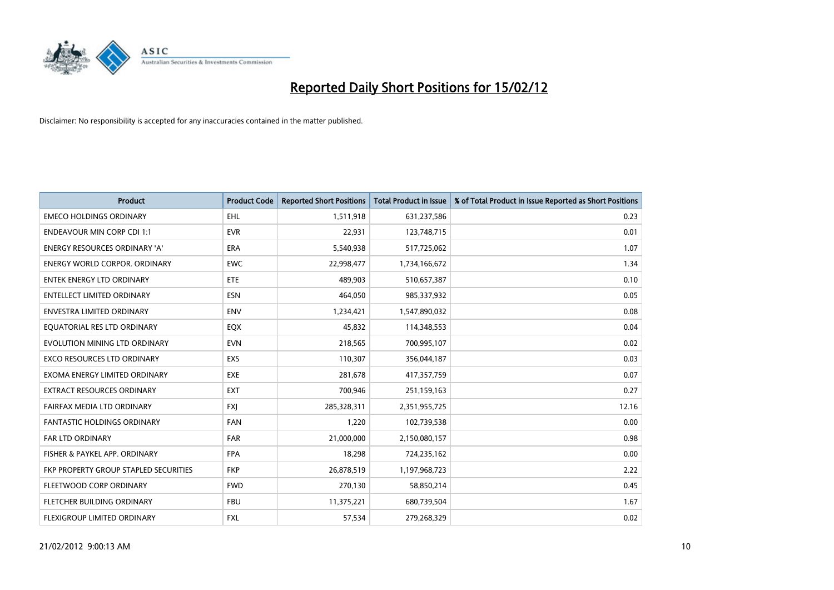

| <b>Product</b>                        | <b>Product Code</b> | <b>Reported Short Positions</b> | <b>Total Product in Issue</b> | % of Total Product in Issue Reported as Short Positions |
|---------------------------------------|---------------------|---------------------------------|-------------------------------|---------------------------------------------------------|
| <b>EMECO HOLDINGS ORDINARY</b>        | <b>EHL</b>          | 1,511,918                       | 631,237,586                   | 0.23                                                    |
| <b>ENDEAVOUR MIN CORP CDI 1:1</b>     | <b>EVR</b>          | 22,931                          | 123,748,715                   | 0.01                                                    |
| <b>ENERGY RESOURCES ORDINARY 'A'</b>  | <b>ERA</b>          | 5,540,938                       | 517,725,062                   | 1.07                                                    |
| <b>ENERGY WORLD CORPOR, ORDINARY</b>  | <b>EWC</b>          | 22,998,477                      | 1,734,166,672                 | 1.34                                                    |
| <b>ENTEK ENERGY LTD ORDINARY</b>      | ETE                 | 489,903                         | 510,657,387                   | 0.10                                                    |
| <b>ENTELLECT LIMITED ORDINARY</b>     | <b>ESN</b>          | 464,050                         | 985,337,932                   | 0.05                                                    |
| <b>ENVESTRA LIMITED ORDINARY</b>      | <b>ENV</b>          | 1,234,421                       | 1,547,890,032                 | 0.08                                                    |
| EQUATORIAL RES LTD ORDINARY           | EQX                 | 45,832                          | 114,348,553                   | 0.04                                                    |
| EVOLUTION MINING LTD ORDINARY         | <b>EVN</b>          | 218,565                         | 700,995,107                   | 0.02                                                    |
| <b>EXCO RESOURCES LTD ORDINARY</b>    | <b>EXS</b>          | 110,307                         | 356,044,187                   | 0.03                                                    |
| EXOMA ENERGY LIMITED ORDINARY         | <b>EXE</b>          | 281,678                         | 417,357,759                   | 0.07                                                    |
| EXTRACT RESOURCES ORDINARY            | <b>EXT</b>          | 700,946                         | 251,159,163                   | 0.27                                                    |
| FAIRFAX MEDIA LTD ORDINARY            | <b>FXI</b>          | 285,328,311                     | 2,351,955,725                 | 12.16                                                   |
| <b>FANTASTIC HOLDINGS ORDINARY</b>    | <b>FAN</b>          | 1,220                           | 102,739,538                   | 0.00                                                    |
| FAR LTD ORDINARY                      | <b>FAR</b>          | 21,000,000                      | 2,150,080,157                 | 0.98                                                    |
| FISHER & PAYKEL APP. ORDINARY         | <b>FPA</b>          | 18,298                          | 724,235,162                   | 0.00                                                    |
| FKP PROPERTY GROUP STAPLED SECURITIES | <b>FKP</b>          | 26,878,519                      | 1,197,968,723                 | 2.22                                                    |
| FLEETWOOD CORP ORDINARY               | <b>FWD</b>          | 270,130                         | 58,850,214                    | 0.45                                                    |
| FLETCHER BUILDING ORDINARY            | <b>FBU</b>          | 11,375,221                      | 680,739,504                   | 1.67                                                    |
| <b>FLEXIGROUP LIMITED ORDINARY</b>    | FXL                 | 57,534                          | 279,268,329                   | 0.02                                                    |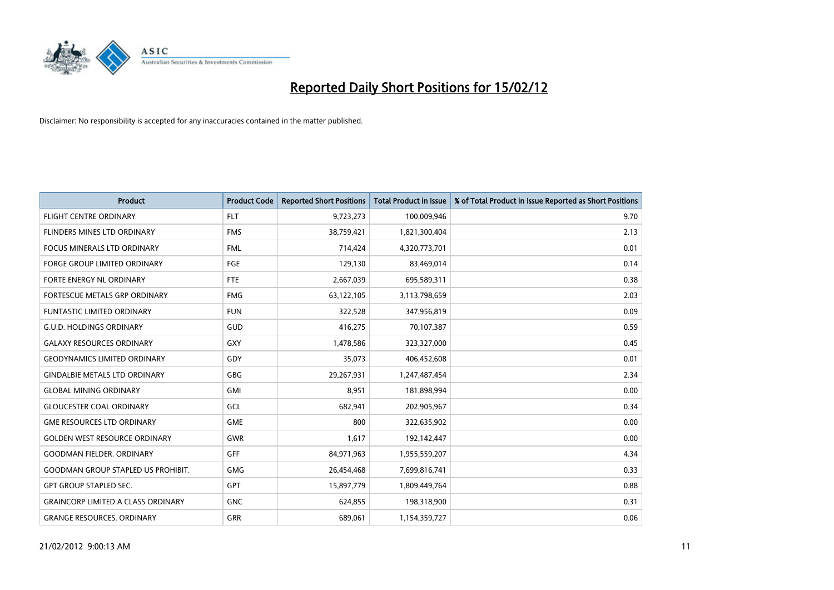

| <b>Product</b>                            | <b>Product Code</b> | <b>Reported Short Positions</b> | <b>Total Product in Issue</b> | % of Total Product in Issue Reported as Short Positions |
|-------------------------------------------|---------------------|---------------------------------|-------------------------------|---------------------------------------------------------|
| <b>FLIGHT CENTRE ORDINARY</b>             | <b>FLT</b>          | 9,723,273                       | 100,009,946                   | 9.70                                                    |
| FLINDERS MINES LTD ORDINARY               | <b>FMS</b>          | 38,759,421                      | 1,821,300,404                 | 2.13                                                    |
| <b>FOCUS MINERALS LTD ORDINARY</b>        | <b>FML</b>          | 714,424                         | 4,320,773,701                 | 0.01                                                    |
| FORGE GROUP LIMITED ORDINARY              | FGE                 | 129,130                         | 83,469,014                    | 0.14                                                    |
| FORTE ENERGY NL ORDINARY                  | FTE                 | 2,667,039                       | 695,589,311                   | 0.38                                                    |
| FORTESCUE METALS GRP ORDINARY             | <b>FMG</b>          | 63,122,105                      | 3,113,798,659                 | 2.03                                                    |
| <b>FUNTASTIC LIMITED ORDINARY</b>         | <b>FUN</b>          | 322,528                         | 347,956,819                   | 0.09                                                    |
| <b>G.U.D. HOLDINGS ORDINARY</b>           | GUD                 | 416,275                         | 70,107,387                    | 0.59                                                    |
| <b>GALAXY RESOURCES ORDINARY</b>          | GXY                 | 1,478,586                       | 323,327,000                   | 0.45                                                    |
| <b>GEODYNAMICS LIMITED ORDINARY</b>       | GDY                 | 35,073                          | 406,452,608                   | 0.01                                                    |
| <b>GINDALBIE METALS LTD ORDINARY</b>      | GBG                 | 29,267,931                      | 1,247,487,454                 | 2.34                                                    |
| <b>GLOBAL MINING ORDINARY</b>             | GMI                 | 8,951                           | 181,898,994                   | 0.00                                                    |
| <b>GLOUCESTER COAL ORDINARY</b>           | GCL                 | 682,941                         | 202,905,967                   | 0.34                                                    |
| <b>GME RESOURCES LTD ORDINARY</b>         | <b>GME</b>          | 800                             | 322,635,902                   | 0.00                                                    |
| <b>GOLDEN WEST RESOURCE ORDINARY</b>      | <b>GWR</b>          | 1,617                           | 192,142,447                   | 0.00                                                    |
| <b>GOODMAN FIELDER. ORDINARY</b>          | <b>GFF</b>          | 84,971,963                      | 1,955,559,207                 | 4.34                                                    |
| <b>GOODMAN GROUP STAPLED US PROHIBIT.</b> | GMG                 | 26,454,468                      | 7,699,816,741                 | 0.33                                                    |
| <b>GPT GROUP STAPLED SEC.</b>             | <b>GPT</b>          | 15,897,779                      | 1,809,449,764                 | 0.88                                                    |
| <b>GRAINCORP LIMITED A CLASS ORDINARY</b> | <b>GNC</b>          | 624,855                         | 198,318,900                   | 0.31                                                    |
| <b>GRANGE RESOURCES. ORDINARY</b>         | GRR                 | 689,061                         | 1,154,359,727                 | 0.06                                                    |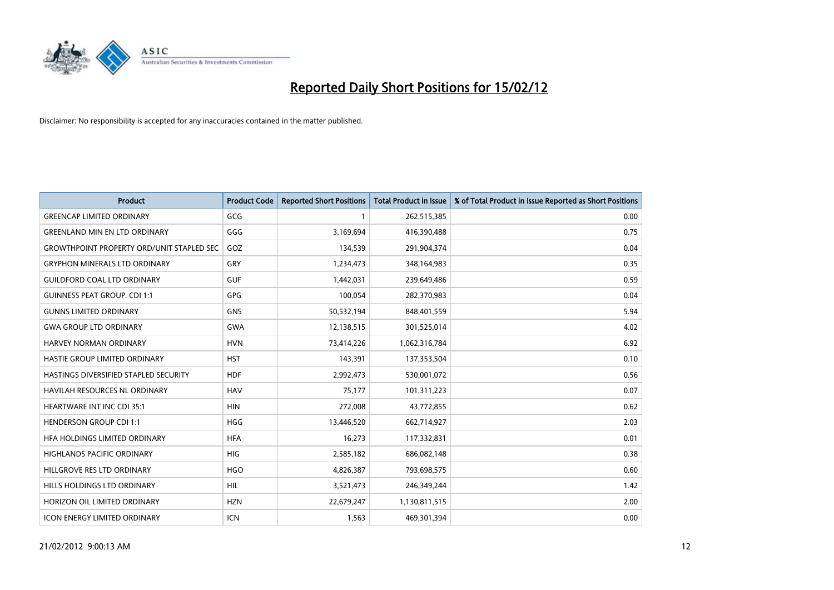

| <b>Product</b>                                   | <b>Product Code</b> | <b>Reported Short Positions</b> | <b>Total Product in Issue</b> | % of Total Product in Issue Reported as Short Positions |
|--------------------------------------------------|---------------------|---------------------------------|-------------------------------|---------------------------------------------------------|
| <b>GREENCAP LIMITED ORDINARY</b>                 | GCG                 | 1                               | 262,515,385                   | 0.00                                                    |
| <b>GREENLAND MIN EN LTD ORDINARY</b>             | GGG                 | 3,169,694                       | 416,390,488                   | 0.75                                                    |
| <b>GROWTHPOINT PROPERTY ORD/UNIT STAPLED SEC</b> | GOZ                 | 134,539                         | 291,904,374                   | 0.04                                                    |
| <b>GRYPHON MINERALS LTD ORDINARY</b>             | GRY                 | 1,234,473                       | 348,164,983                   | 0.35                                                    |
| <b>GUILDFORD COAL LTD ORDINARY</b>               | <b>GUF</b>          | 1,442,031                       | 239,649,486                   | 0.59                                                    |
| <b>GUINNESS PEAT GROUP. CDI 1:1</b>              | GPG                 | 100,054                         | 282,370,983                   | 0.04                                                    |
| <b>GUNNS LIMITED ORDINARY</b>                    | <b>GNS</b>          | 50,532,194                      | 848,401,559                   | 5.94                                                    |
| <b>GWA GROUP LTD ORDINARY</b>                    | <b>GWA</b>          | 12,138,515                      | 301,525,014                   | 4.02                                                    |
| HARVEY NORMAN ORDINARY                           | <b>HVN</b>          | 73,414,226                      | 1,062,316,784                 | 6.92                                                    |
| HASTIE GROUP LIMITED ORDINARY                    | <b>HST</b>          | 143,391                         | 137,353,504                   | 0.10                                                    |
| HASTINGS DIVERSIFIED STAPLED SECURITY            | <b>HDF</b>          | 2,992,473                       | 530,001,072                   | 0.56                                                    |
| <b>HAVILAH RESOURCES NL ORDINARY</b>             | <b>HAV</b>          | 75,177                          | 101,311,223                   | 0.07                                                    |
| HEARTWARE INT INC CDI 35:1                       | <b>HIN</b>          | 272,008                         | 43,772,855                    | 0.62                                                    |
| <b>HENDERSON GROUP CDI 1:1</b>                   | <b>HGG</b>          | 13,446,520                      | 662,714,927                   | 2.03                                                    |
| HFA HOLDINGS LIMITED ORDINARY                    | <b>HFA</b>          | 16,273                          | 117,332,831                   | 0.01                                                    |
| <b>HIGHLANDS PACIFIC ORDINARY</b>                | <b>HIG</b>          | 2,585,182                       | 686,082,148                   | 0.38                                                    |
| HILLGROVE RES LTD ORDINARY                       | <b>HGO</b>          | 4,826,387                       | 793,698,575                   | 0.60                                                    |
| HILLS HOLDINGS LTD ORDINARY                      | <b>HIL</b>          | 3,521,473                       | 246,349,244                   | 1.42                                                    |
| HORIZON OIL LIMITED ORDINARY                     | <b>HZN</b>          | 22,679,247                      | 1,130,811,515                 | 2.00                                                    |
| <b>ICON ENERGY LIMITED ORDINARY</b>              | <b>ICN</b>          | 1,563                           | 469,301,394                   | 0.00                                                    |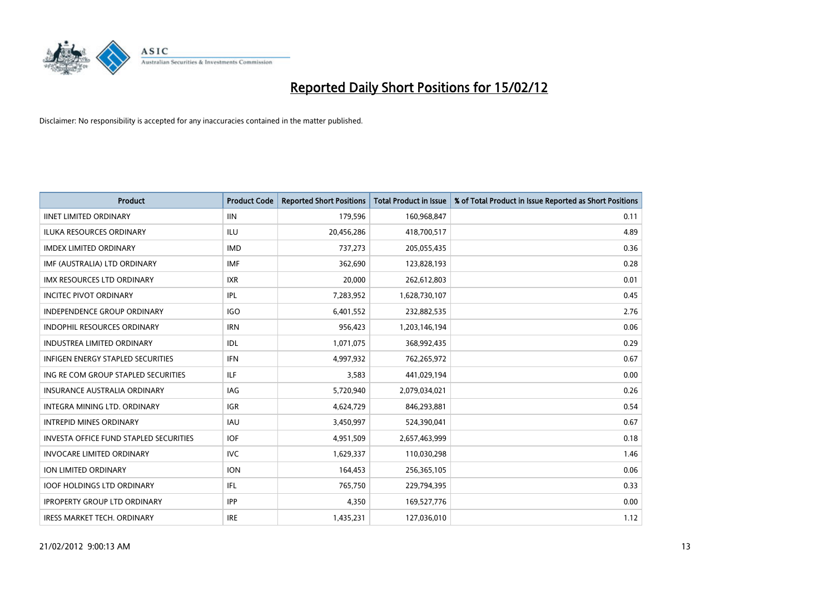

| <b>Product</b>                                | <b>Product Code</b> | <b>Reported Short Positions</b> | <b>Total Product in Issue</b> | % of Total Product in Issue Reported as Short Positions |
|-----------------------------------------------|---------------------|---------------------------------|-------------------------------|---------------------------------------------------------|
| <b>IINET LIMITED ORDINARY</b>                 | <b>IIN</b>          | 179,596                         | 160,968,847                   | 0.11                                                    |
| ILUKA RESOURCES ORDINARY                      | ILU                 | 20,456,286                      | 418,700,517                   | 4.89                                                    |
| <b>IMDEX LIMITED ORDINARY</b>                 | <b>IMD</b>          | 737,273                         | 205,055,435                   | 0.36                                                    |
| IMF (AUSTRALIA) LTD ORDINARY                  | <b>IMF</b>          | 362,690                         | 123,828,193                   | 0.28                                                    |
| <b>IMX RESOURCES LTD ORDINARY</b>             | <b>IXR</b>          | 20,000                          | 262,612,803                   | 0.01                                                    |
| <b>INCITEC PIVOT ORDINARY</b>                 | IPL                 | 7,283,952                       | 1,628,730,107                 | 0.45                                                    |
| <b>INDEPENDENCE GROUP ORDINARY</b>            | <b>IGO</b>          | 6,401,552                       | 232,882,535                   | 2.76                                                    |
| INDOPHIL RESOURCES ORDINARY                   | <b>IRN</b>          | 956,423                         | 1,203,146,194                 | 0.06                                                    |
| <b>INDUSTREA LIMITED ORDINARY</b>             | IDL                 | 1,071,075                       | 368,992,435                   | 0.29                                                    |
| <b>INFIGEN ENERGY STAPLED SECURITIES</b>      | <b>IFN</b>          | 4,997,932                       | 762,265,972                   | 0.67                                                    |
| ING RE COM GROUP STAPLED SECURITIES           | ILF.                | 3,583                           | 441,029,194                   | 0.00                                                    |
| <b>INSURANCE AUSTRALIA ORDINARY</b>           | IAG                 | 5,720,940                       | 2,079,034,021                 | 0.26                                                    |
| <b>INTEGRA MINING LTD, ORDINARY</b>           | <b>IGR</b>          | 4,624,729                       | 846,293,881                   | 0.54                                                    |
| <b>INTREPID MINES ORDINARY</b>                | <b>IAU</b>          | 3,450,997                       | 524,390,041                   | 0.67                                                    |
| <b>INVESTA OFFICE FUND STAPLED SECURITIES</b> | <b>IOF</b>          | 4,951,509                       | 2,657,463,999                 | 0.18                                                    |
| <b>INVOCARE LIMITED ORDINARY</b>              | <b>IVC</b>          | 1,629,337                       | 110,030,298                   | 1.46                                                    |
| ION LIMITED ORDINARY                          | <b>ION</b>          | 164,453                         | 256,365,105                   | 0.06                                                    |
| <b>IOOF HOLDINGS LTD ORDINARY</b>             | IFL                 | 765,750                         | 229,794,395                   | 0.33                                                    |
| <b>IPROPERTY GROUP LTD ORDINARY</b>           | <b>IPP</b>          | 4,350                           | 169,527,776                   | 0.00                                                    |
| IRESS MARKET TECH. ORDINARY                   | <b>IRE</b>          | 1,435,231                       | 127,036,010                   | 1.12                                                    |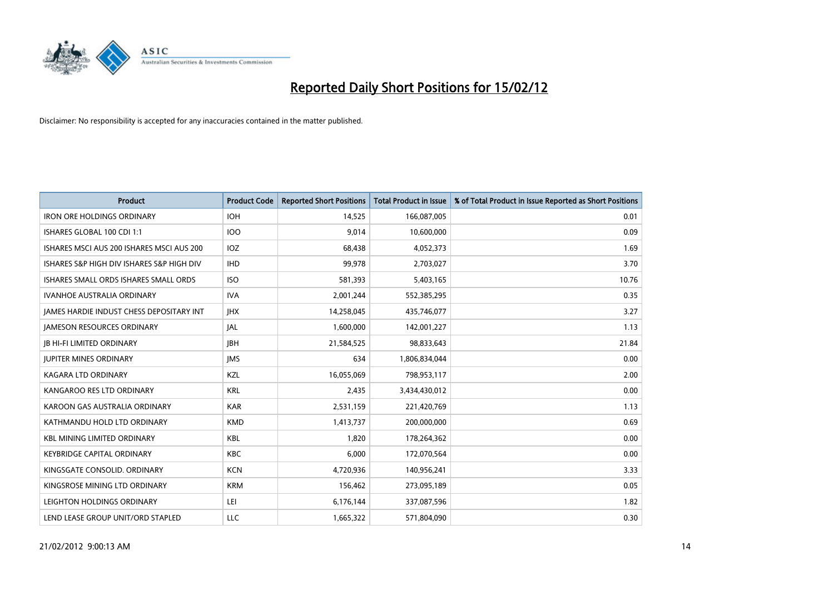

| <b>Product</b>                            | <b>Product Code</b> | <b>Reported Short Positions</b> | <b>Total Product in Issue</b> | % of Total Product in Issue Reported as Short Positions |
|-------------------------------------------|---------------------|---------------------------------|-------------------------------|---------------------------------------------------------|
| <b>IRON ORE HOLDINGS ORDINARY</b>         | <b>IOH</b>          | 14,525                          | 166,087,005                   | 0.01                                                    |
| ISHARES GLOBAL 100 CDI 1:1                | <b>IOO</b>          | 9,014                           | 10,600,000                    | 0.09                                                    |
| ISHARES MSCI AUS 200 ISHARES MSCI AUS 200 | <b>IOZ</b>          | 68,438                          | 4,052,373                     | 1.69                                                    |
| ISHARES S&P HIGH DIV ISHARES S&P HIGH DIV | <b>IHD</b>          | 99,978                          | 2,703,027                     | 3.70                                                    |
| ISHARES SMALL ORDS ISHARES SMALL ORDS     | <b>ISO</b>          | 581,393                         | 5,403,165                     | 10.76                                                   |
| <b>IVANHOE AUSTRALIA ORDINARY</b>         | <b>IVA</b>          | 2,001,244                       | 552,385,295                   | 0.35                                                    |
| JAMES HARDIE INDUST CHESS DEPOSITARY INT  | <b>JHX</b>          | 14,258,045                      | 435,746,077                   | 3.27                                                    |
| <b>JAMESON RESOURCES ORDINARY</b>         | <b>JAL</b>          | 1,600,000                       | 142,001,227                   | 1.13                                                    |
| <b>JB HI-FI LIMITED ORDINARY</b>          | <b>JBH</b>          | 21,584,525                      | 98,833,643                    | 21.84                                                   |
| <b>JUPITER MINES ORDINARY</b>             | <b>IMS</b>          | 634                             | 1,806,834,044                 | 0.00                                                    |
| KAGARA LTD ORDINARY                       | KZL                 | 16,055,069                      | 798,953,117                   | 2.00                                                    |
| KANGAROO RES LTD ORDINARY                 | <b>KRL</b>          | 2,435                           | 3,434,430,012                 | 0.00                                                    |
| KAROON GAS AUSTRALIA ORDINARY             | <b>KAR</b>          | 2,531,159                       | 221,420,769                   | 1.13                                                    |
| KATHMANDU HOLD LTD ORDINARY               | <b>KMD</b>          | 1,413,737                       | 200,000,000                   | 0.69                                                    |
| <b>KBL MINING LIMITED ORDINARY</b>        | <b>KBL</b>          | 1,820                           | 178,264,362                   | 0.00                                                    |
| <b>KEYBRIDGE CAPITAL ORDINARY</b>         | <b>KBC</b>          | 6,000                           | 172,070,564                   | 0.00                                                    |
| KINGSGATE CONSOLID. ORDINARY              | <b>KCN</b>          | 4,720,936                       | 140,956,241                   | 3.33                                                    |
| KINGSROSE MINING LTD ORDINARY             | <b>KRM</b>          | 156,462                         | 273,095,189                   | 0.05                                                    |
| LEIGHTON HOLDINGS ORDINARY                | LEI                 | 6,176,144                       | 337,087,596                   | 1.82                                                    |
| LEND LEASE GROUP UNIT/ORD STAPLED         | LLC                 | 1,665,322                       | 571,804,090                   | 0.30                                                    |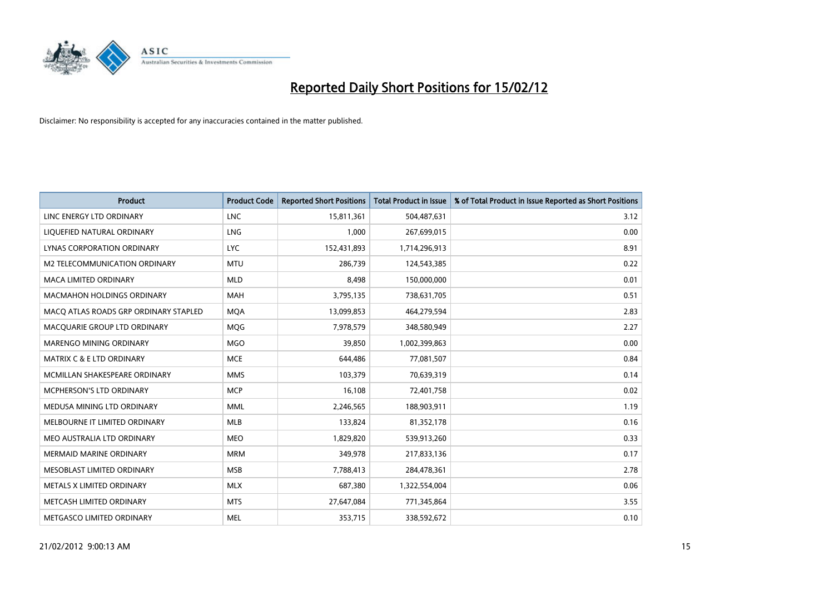

| <b>Product</b>                        | <b>Product Code</b> | <b>Reported Short Positions</b> | <b>Total Product in Issue</b> | % of Total Product in Issue Reported as Short Positions |
|---------------------------------------|---------------------|---------------------------------|-------------------------------|---------------------------------------------------------|
| LINC ENERGY LTD ORDINARY              | <b>LNC</b>          | 15,811,361                      | 504,487,631                   | 3.12                                                    |
| LIQUEFIED NATURAL ORDINARY            | LNG                 | 1,000                           | 267,699,015                   | 0.00                                                    |
| LYNAS CORPORATION ORDINARY            | <b>LYC</b>          | 152,431,893                     | 1,714,296,913                 | 8.91                                                    |
| M2 TELECOMMUNICATION ORDINARY         | <b>MTU</b>          | 286,739                         | 124,543,385                   | 0.22                                                    |
| <b>MACA LIMITED ORDINARY</b>          | <b>MLD</b>          | 8,498                           | 150,000,000                   | 0.01                                                    |
| <b>MACMAHON HOLDINGS ORDINARY</b>     | <b>MAH</b>          | 3,795,135                       | 738,631,705                   | 0.51                                                    |
| MACQ ATLAS ROADS GRP ORDINARY STAPLED | <b>MQA</b>          | 13,099,853                      | 464,279,594                   | 2.83                                                    |
| MACQUARIE GROUP LTD ORDINARY          | MQG                 | 7,978,579                       | 348,580,949                   | 2.27                                                    |
| MARENGO MINING ORDINARY               | <b>MGO</b>          | 39,850                          | 1,002,399,863                 | 0.00                                                    |
| <b>MATRIX C &amp; E LTD ORDINARY</b>  | <b>MCE</b>          | 644,486                         | 77,081,507                    | 0.84                                                    |
| MCMILLAN SHAKESPEARE ORDINARY         | <b>MMS</b>          | 103,379                         | 70,639,319                    | 0.14                                                    |
| <b>MCPHERSON'S LTD ORDINARY</b>       | <b>MCP</b>          | 16,108                          | 72,401,758                    | 0.02                                                    |
| MEDUSA MINING LTD ORDINARY            | <b>MML</b>          | 2,246,565                       | 188,903,911                   | 1.19                                                    |
| MELBOURNE IT LIMITED ORDINARY         | MLB                 | 133,824                         | 81,352,178                    | 0.16                                                    |
| MEO AUSTRALIA LTD ORDINARY            | <b>MEO</b>          | 1,829,820                       | 539,913,260                   | 0.33                                                    |
| <b>MERMAID MARINE ORDINARY</b>        | <b>MRM</b>          | 349,978                         | 217,833,136                   | 0.17                                                    |
| MESOBLAST LIMITED ORDINARY            | <b>MSB</b>          | 7,788,413                       | 284,478,361                   | 2.78                                                    |
| METALS X LIMITED ORDINARY             | <b>MLX</b>          | 687,380                         | 1,322,554,004                 | 0.06                                                    |
| METCASH LIMITED ORDINARY              | <b>MTS</b>          | 27,647,084                      | 771,345,864                   | 3.55                                                    |
| METGASCO LIMITED ORDINARY             | <b>MEL</b>          | 353,715                         | 338,592,672                   | 0.10                                                    |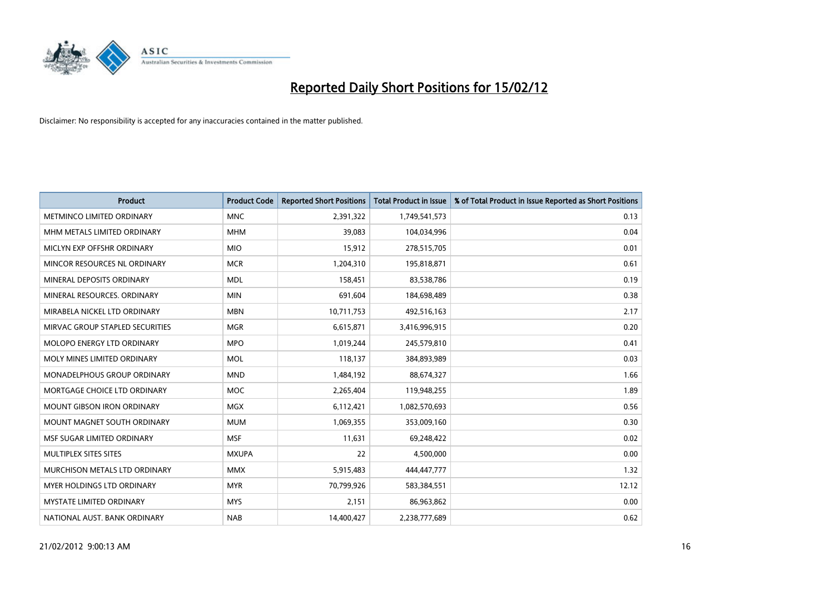

| <b>Product</b>                    | <b>Product Code</b> | <b>Reported Short Positions</b> | <b>Total Product in Issue</b> | % of Total Product in Issue Reported as Short Positions |
|-----------------------------------|---------------------|---------------------------------|-------------------------------|---------------------------------------------------------|
| METMINCO LIMITED ORDINARY         | <b>MNC</b>          | 2,391,322                       | 1,749,541,573                 | 0.13                                                    |
| MHM METALS LIMITED ORDINARY       | <b>MHM</b>          | 39,083                          | 104,034,996                   | 0.04                                                    |
| MICLYN EXP OFFSHR ORDINARY        | <b>MIO</b>          | 15,912                          | 278,515,705                   | 0.01                                                    |
| MINCOR RESOURCES NL ORDINARY      | <b>MCR</b>          | 1,204,310                       | 195,818,871                   | 0.61                                                    |
| MINERAL DEPOSITS ORDINARY         | <b>MDL</b>          | 158,451                         | 83,538,786                    | 0.19                                                    |
| MINERAL RESOURCES, ORDINARY       | <b>MIN</b>          | 691,604                         | 184,698,489                   | 0.38                                                    |
| MIRABELA NICKEL LTD ORDINARY      | <b>MBN</b>          | 10,711,753                      | 492,516,163                   | 2.17                                                    |
| MIRVAC GROUP STAPLED SECURITIES   | <b>MGR</b>          | 6,615,871                       | 3,416,996,915                 | 0.20                                                    |
| MOLOPO ENERGY LTD ORDINARY        | <b>MPO</b>          | 1,019,244                       | 245,579,810                   | 0.41                                                    |
| MOLY MINES LIMITED ORDINARY       | <b>MOL</b>          | 118,137                         | 384,893,989                   | 0.03                                                    |
| MONADELPHOUS GROUP ORDINARY       | <b>MND</b>          | 1,484,192                       | 88,674,327                    | 1.66                                                    |
| MORTGAGE CHOICE LTD ORDINARY      | <b>MOC</b>          | 2,265,404                       | 119,948,255                   | 1.89                                                    |
| <b>MOUNT GIBSON IRON ORDINARY</b> | <b>MGX</b>          | 6,112,421                       | 1,082,570,693                 | 0.56                                                    |
| MOUNT MAGNET SOUTH ORDINARY       | <b>MUM</b>          | 1,069,355                       | 353,009,160                   | 0.30                                                    |
| MSF SUGAR LIMITED ORDINARY        | <b>MSF</b>          | 11,631                          | 69,248,422                    | 0.02                                                    |
| MULTIPLEX SITES SITES             | <b>MXUPA</b>        | 22                              | 4,500,000                     | 0.00                                                    |
| MURCHISON METALS LTD ORDINARY     | <b>MMX</b>          | 5,915,483                       | 444,447,777                   | 1.32                                                    |
| MYER HOLDINGS LTD ORDINARY        | <b>MYR</b>          | 70,799,926                      | 583,384,551                   | 12.12                                                   |
| <b>MYSTATE LIMITED ORDINARY</b>   | <b>MYS</b>          | 2,151                           | 86,963,862                    | 0.00                                                    |
| NATIONAL AUST. BANK ORDINARY      | <b>NAB</b>          | 14,400,427                      | 2,238,777,689                 | 0.62                                                    |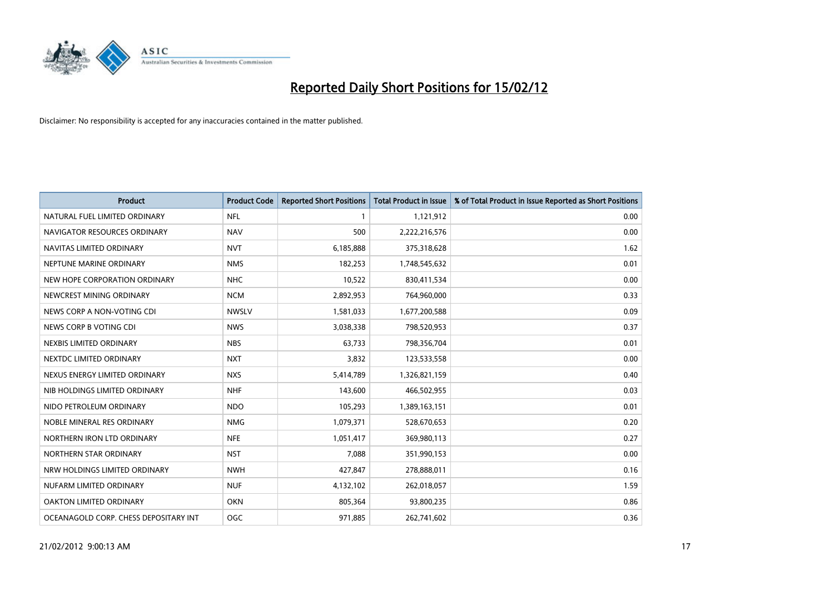

| <b>Product</b>                        | <b>Product Code</b> | <b>Reported Short Positions</b> | <b>Total Product in Issue</b> | % of Total Product in Issue Reported as Short Positions |
|---------------------------------------|---------------------|---------------------------------|-------------------------------|---------------------------------------------------------|
| NATURAL FUEL LIMITED ORDINARY         | <b>NFL</b>          |                                 | 1,121,912                     | 0.00                                                    |
| NAVIGATOR RESOURCES ORDINARY          | <b>NAV</b>          | 500                             | 2,222,216,576                 | 0.00                                                    |
| NAVITAS LIMITED ORDINARY              | <b>NVT</b>          | 6,185,888                       | 375,318,628                   | 1.62                                                    |
| NEPTUNE MARINE ORDINARY               | <b>NMS</b>          | 182,253                         | 1,748,545,632                 | 0.01                                                    |
| NEW HOPE CORPORATION ORDINARY         | <b>NHC</b>          | 10,522                          | 830,411,534                   | 0.00                                                    |
| NEWCREST MINING ORDINARY              | <b>NCM</b>          | 2,892,953                       | 764,960,000                   | 0.33                                                    |
| NEWS CORP A NON-VOTING CDI            | <b>NWSLV</b>        | 1,581,033                       | 1,677,200,588                 | 0.09                                                    |
| NEWS CORP B VOTING CDI                | <b>NWS</b>          | 3,038,338                       | 798,520,953                   | 0.37                                                    |
| NEXBIS LIMITED ORDINARY               | <b>NBS</b>          | 63,733                          | 798,356,704                   | 0.01                                                    |
| NEXTDC LIMITED ORDINARY               | <b>NXT</b>          | 3,832                           | 123,533,558                   | 0.00                                                    |
| NEXUS ENERGY LIMITED ORDINARY         | <b>NXS</b>          | 5,414,789                       | 1,326,821,159                 | 0.40                                                    |
| NIB HOLDINGS LIMITED ORDINARY         | <b>NHF</b>          | 143,600                         | 466,502,955                   | 0.03                                                    |
| NIDO PETROLEUM ORDINARY               | <b>NDO</b>          | 105,293                         | 1,389,163,151                 | 0.01                                                    |
| NOBLE MINERAL RES ORDINARY            | <b>NMG</b>          | 1,079,371                       | 528,670,653                   | 0.20                                                    |
| NORTHERN IRON LTD ORDINARY            | <b>NFE</b>          | 1,051,417                       | 369,980,113                   | 0.27                                                    |
| NORTHERN STAR ORDINARY                | <b>NST</b>          | 7,088                           | 351,990,153                   | 0.00                                                    |
| NRW HOLDINGS LIMITED ORDINARY         | <b>NWH</b>          | 427,847                         | 278,888,011                   | 0.16                                                    |
| NUFARM LIMITED ORDINARY               | <b>NUF</b>          | 4,132,102                       | 262,018,057                   | 1.59                                                    |
| <b>OAKTON LIMITED ORDINARY</b>        | <b>OKN</b>          | 805,364                         | 93,800,235                    | 0.86                                                    |
| OCEANAGOLD CORP. CHESS DEPOSITARY INT | OGC                 | 971,885                         | 262,741,602                   | 0.36                                                    |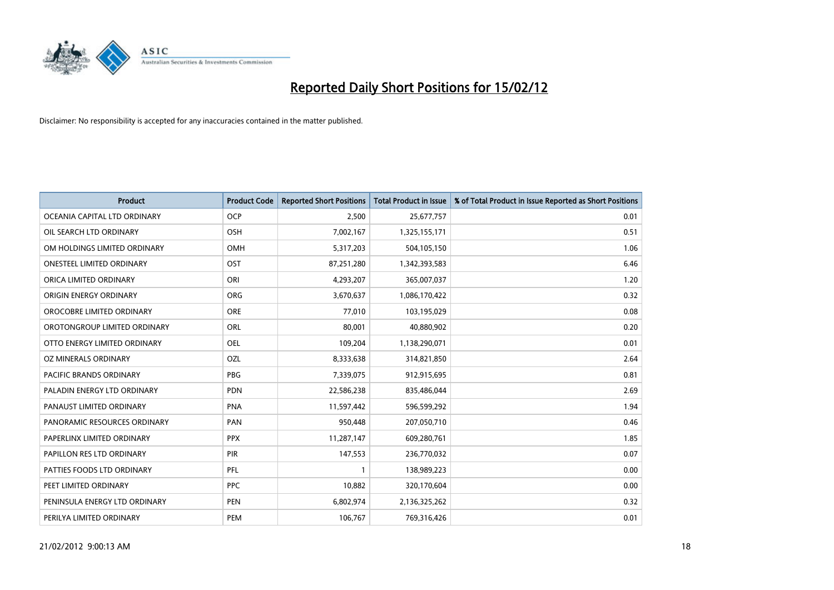

| <b>Product</b>                | <b>Product Code</b> | <b>Reported Short Positions</b> | <b>Total Product in Issue</b> | % of Total Product in Issue Reported as Short Positions |
|-------------------------------|---------------------|---------------------------------|-------------------------------|---------------------------------------------------------|
| OCEANIA CAPITAL LTD ORDINARY  | <b>OCP</b>          | 2,500                           | 25,677,757                    | 0.01                                                    |
| OIL SEARCH LTD ORDINARY       | OSH                 | 7,002,167                       | 1,325,155,171                 | 0.51                                                    |
| OM HOLDINGS LIMITED ORDINARY  | OMH                 | 5,317,203                       | 504,105,150                   | 1.06                                                    |
| ONESTEEL LIMITED ORDINARY     | OST                 | 87,251,280                      | 1,342,393,583                 | 6.46                                                    |
| ORICA LIMITED ORDINARY        | ORI                 | 4,293,207                       | 365,007,037                   | 1.20                                                    |
| ORIGIN ENERGY ORDINARY        | <b>ORG</b>          | 3,670,637                       | 1,086,170,422                 | 0.32                                                    |
| OROCOBRE LIMITED ORDINARY     | <b>ORE</b>          | 77,010                          | 103,195,029                   | 0.08                                                    |
| OROTONGROUP LIMITED ORDINARY  | ORL                 | 80,001                          | 40,880,902                    | 0.20                                                    |
| OTTO ENERGY LIMITED ORDINARY  | <b>OEL</b>          | 109,204                         | 1,138,290,071                 | 0.01                                                    |
| <b>OZ MINERALS ORDINARY</b>   | OZL                 | 8,333,638                       | 314,821,850                   | 2.64                                                    |
| PACIFIC BRANDS ORDINARY       | <b>PBG</b>          | 7,339,075                       | 912,915,695                   | 0.81                                                    |
| PALADIN ENERGY LTD ORDINARY   | <b>PDN</b>          | 22,586,238                      | 835,486,044                   | 2.69                                                    |
| PANAUST LIMITED ORDINARY      | <b>PNA</b>          | 11,597,442                      | 596,599,292                   | 1.94                                                    |
| PANORAMIC RESOURCES ORDINARY  | PAN                 | 950,448                         | 207,050,710                   | 0.46                                                    |
| PAPERLINX LIMITED ORDINARY    | <b>PPX</b>          | 11,287,147                      | 609,280,761                   | 1.85                                                    |
| PAPILLON RES LTD ORDINARY     | PIR                 | 147,553                         | 236,770,032                   | 0.07                                                    |
| PATTIES FOODS LTD ORDINARY    | PFL                 | $\mathbf{1}$                    | 138,989,223                   | 0.00                                                    |
| PEET LIMITED ORDINARY         | <b>PPC</b>          | 10,882                          | 320,170,604                   | 0.00                                                    |
| PENINSULA ENERGY LTD ORDINARY | <b>PEN</b>          | 6,802,974                       | 2,136,325,262                 | 0.32                                                    |
| PERILYA LIMITED ORDINARY      | PEM                 | 106,767                         | 769,316,426                   | 0.01                                                    |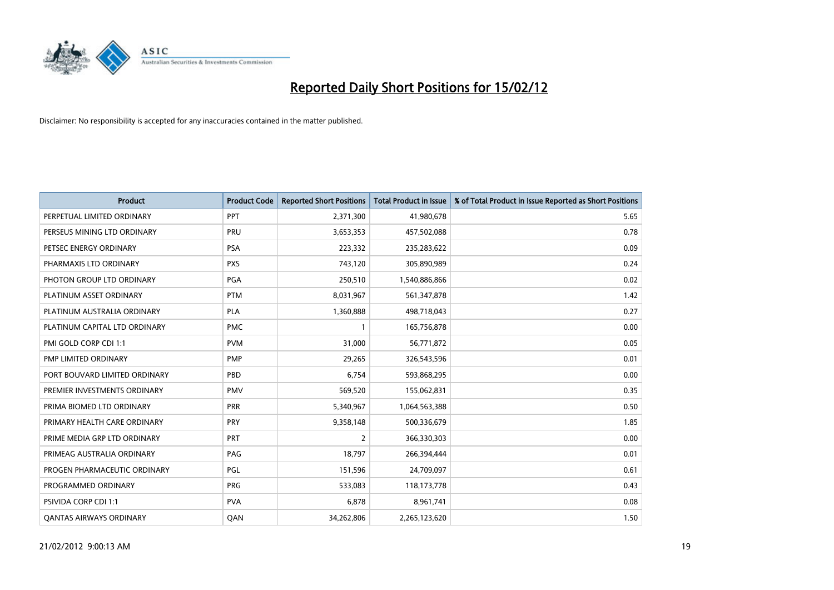

| <b>Product</b>                 | <b>Product Code</b> | <b>Reported Short Positions</b> | <b>Total Product in Issue</b> | % of Total Product in Issue Reported as Short Positions |
|--------------------------------|---------------------|---------------------------------|-------------------------------|---------------------------------------------------------|
| PERPETUAL LIMITED ORDINARY     | PPT                 | 2,371,300                       | 41,980,678                    | 5.65                                                    |
| PERSEUS MINING LTD ORDINARY    | <b>PRU</b>          | 3,653,353                       | 457,502,088                   | 0.78                                                    |
| PETSEC ENERGY ORDINARY         | <b>PSA</b>          | 223,332                         | 235,283,622                   | 0.09                                                    |
| PHARMAXIS LTD ORDINARY         | <b>PXS</b>          | 743,120                         | 305,890,989                   | 0.24                                                    |
| PHOTON GROUP LTD ORDINARY      | <b>PGA</b>          | 250,510                         | 1,540,886,866                 | 0.02                                                    |
| PLATINUM ASSET ORDINARY        | <b>PTM</b>          | 8,031,967                       | 561,347,878                   | 1.42                                                    |
| PLATINUM AUSTRALIA ORDINARY    | <b>PLA</b>          | 1,360,888                       | 498,718,043                   | 0.27                                                    |
| PLATINUM CAPITAL LTD ORDINARY  | <b>PMC</b>          | $\mathbf{1}$                    | 165,756,878                   | 0.00                                                    |
| PMI GOLD CORP CDI 1:1          | <b>PVM</b>          | 31,000                          | 56,771,872                    | 0.05                                                    |
| PMP LIMITED ORDINARY           | <b>PMP</b>          | 29,265                          | 326,543,596                   | 0.01                                                    |
| PORT BOUVARD LIMITED ORDINARY  | PBD                 | 6,754                           | 593,868,295                   | 0.00                                                    |
| PREMIER INVESTMENTS ORDINARY   | <b>PMV</b>          | 569,520                         | 155,062,831                   | 0.35                                                    |
| PRIMA BIOMED LTD ORDINARY      | <b>PRR</b>          | 5,340,967                       | 1,064,563,388                 | 0.50                                                    |
| PRIMARY HEALTH CARE ORDINARY   | <b>PRY</b>          | 9,358,148                       | 500,336,679                   | 1.85                                                    |
| PRIME MEDIA GRP LTD ORDINARY   | <b>PRT</b>          | $\overline{2}$                  | 366,330,303                   | 0.00                                                    |
| PRIMEAG AUSTRALIA ORDINARY     | PAG                 | 18,797                          | 266,394,444                   | 0.01                                                    |
| PROGEN PHARMACEUTIC ORDINARY   | PGL                 | 151,596                         | 24,709,097                    | 0.61                                                    |
| PROGRAMMED ORDINARY            | <b>PRG</b>          | 533,083                         | 118,173,778                   | 0.43                                                    |
| <b>PSIVIDA CORP CDI 1:1</b>    | <b>PVA</b>          | 6,878                           | 8,961,741                     | 0.08                                                    |
| <b>QANTAS AIRWAYS ORDINARY</b> | QAN                 | 34,262,806                      | 2,265,123,620                 | 1.50                                                    |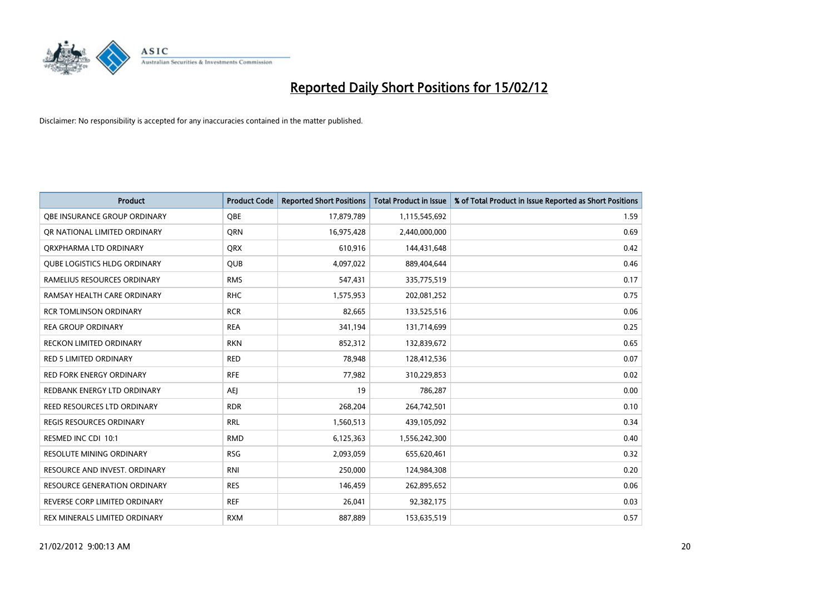

| <b>Product</b>                      | <b>Product Code</b> | <b>Reported Short Positions</b> | <b>Total Product in Issue</b> | % of Total Product in Issue Reported as Short Positions |
|-------------------------------------|---------------------|---------------------------------|-------------------------------|---------------------------------------------------------|
| OBE INSURANCE GROUP ORDINARY        | <b>OBE</b>          | 17,879,789                      | 1,115,545,692                 | 1.59                                                    |
| OR NATIONAL LIMITED ORDINARY        | QRN                 | 16,975,428                      | 2,440,000,000                 | 0.69                                                    |
| ORXPHARMA LTD ORDINARY              | <b>QRX</b>          | 610,916                         | 144,431,648                   | 0.42                                                    |
| <b>QUBE LOGISTICS HLDG ORDINARY</b> | <b>QUB</b>          | 4,097,022                       | 889,404,644                   | 0.46                                                    |
| RAMELIUS RESOURCES ORDINARY         | <b>RMS</b>          | 547,431                         | 335,775,519                   | 0.17                                                    |
| RAMSAY HEALTH CARE ORDINARY         | <b>RHC</b>          | 1,575,953                       | 202,081,252                   | 0.75                                                    |
| <b>RCR TOMLINSON ORDINARY</b>       | <b>RCR</b>          | 82,665                          | 133,525,516                   | 0.06                                                    |
| <b>REA GROUP ORDINARY</b>           | <b>REA</b>          | 341,194                         | 131,714,699                   | 0.25                                                    |
| <b>RECKON LIMITED ORDINARY</b>      | <b>RKN</b>          | 852,312                         | 132,839,672                   | 0.65                                                    |
| <b>RED 5 LIMITED ORDINARY</b>       | <b>RED</b>          | 78,948                          | 128,412,536                   | 0.07                                                    |
| RED FORK ENERGY ORDINARY            | <b>RFE</b>          | 77,982                          | 310,229,853                   | 0.02                                                    |
| REDBANK ENERGY LTD ORDINARY         | <b>AEJ</b>          | 19                              | 786,287                       | 0.00                                                    |
| REED RESOURCES LTD ORDINARY         | <b>RDR</b>          | 268,204                         | 264,742,501                   | 0.10                                                    |
| <b>REGIS RESOURCES ORDINARY</b>     | <b>RRL</b>          | 1,560,513                       | 439,105,092                   | 0.34                                                    |
| RESMED INC CDI 10:1                 | <b>RMD</b>          | 6,125,363                       | 1,556,242,300                 | 0.40                                                    |
| <b>RESOLUTE MINING ORDINARY</b>     | <b>RSG</b>          | 2,093,059                       | 655,620,461                   | 0.32                                                    |
| RESOURCE AND INVEST. ORDINARY       | <b>RNI</b>          | 250,000                         | 124,984,308                   | 0.20                                                    |
| <b>RESOURCE GENERATION ORDINARY</b> | <b>RES</b>          | 146,459                         | 262,895,652                   | 0.06                                                    |
| REVERSE CORP LIMITED ORDINARY       | <b>REF</b>          | 26,041                          | 92,382,175                    | 0.03                                                    |
| REX MINERALS LIMITED ORDINARY       | <b>RXM</b>          | 887,889                         | 153,635,519                   | 0.57                                                    |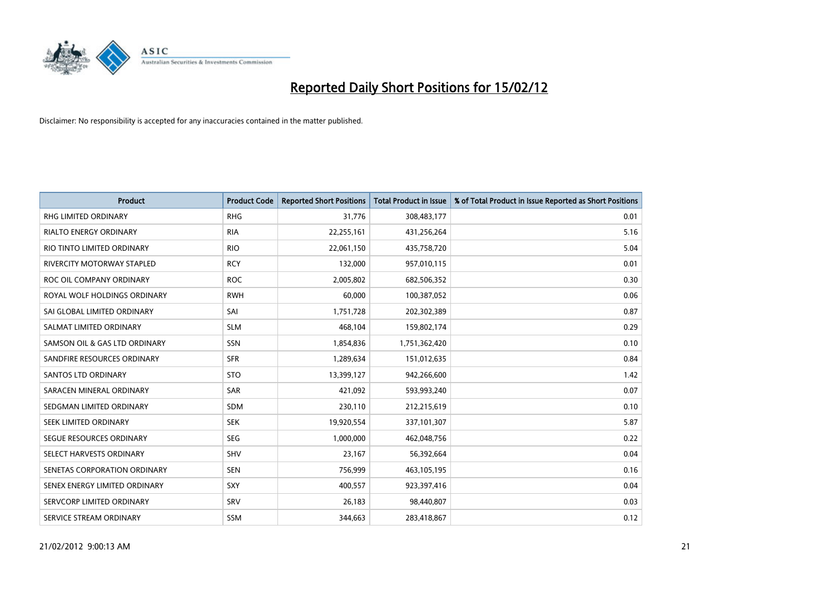

| <b>Product</b>                    | <b>Product Code</b> | <b>Reported Short Positions</b> | <b>Total Product in Issue</b> | % of Total Product in Issue Reported as Short Positions |
|-----------------------------------|---------------------|---------------------------------|-------------------------------|---------------------------------------------------------|
| <b>RHG LIMITED ORDINARY</b>       | <b>RHG</b>          | 31,776                          | 308,483,177                   | 0.01                                                    |
| <b>RIALTO ENERGY ORDINARY</b>     | <b>RIA</b>          | 22,255,161                      | 431,256,264                   | 5.16                                                    |
| RIO TINTO LIMITED ORDINARY        | <b>RIO</b>          | 22,061,150                      | 435,758,720                   | 5.04                                                    |
| <b>RIVERCITY MOTORWAY STAPLED</b> | <b>RCY</b>          | 132,000                         | 957,010,115                   | 0.01                                                    |
| ROC OIL COMPANY ORDINARY          | <b>ROC</b>          | 2,005,802                       | 682,506,352                   | 0.30                                                    |
| ROYAL WOLF HOLDINGS ORDINARY      | <b>RWH</b>          | 60,000                          | 100,387,052                   | 0.06                                                    |
| SAI GLOBAL LIMITED ORDINARY       | SAI                 | 1,751,728                       | 202,302,389                   | 0.87                                                    |
| SALMAT LIMITED ORDINARY           | <b>SLM</b>          | 468,104                         | 159,802,174                   | 0.29                                                    |
| SAMSON OIL & GAS LTD ORDINARY     | SSN                 | 1,854,836                       | 1,751,362,420                 | 0.10                                                    |
| SANDFIRE RESOURCES ORDINARY       | <b>SFR</b>          | 1,289,634                       | 151,012,635                   | 0.84                                                    |
| SANTOS LTD ORDINARY               | <b>STO</b>          | 13,399,127                      | 942,266,600                   | 1.42                                                    |
| SARACEN MINERAL ORDINARY          | SAR                 | 421,092                         | 593,993,240                   | 0.07                                                    |
| SEDGMAN LIMITED ORDINARY          | <b>SDM</b>          | 230,110                         | 212,215,619                   | 0.10                                                    |
| SEEK LIMITED ORDINARY             | <b>SEK</b>          | 19,920,554                      | 337,101,307                   | 5.87                                                    |
| SEGUE RESOURCES ORDINARY          | <b>SEG</b>          | 1,000,000                       | 462,048,756                   | 0.22                                                    |
| SELECT HARVESTS ORDINARY          | SHV                 | 23,167                          | 56,392,664                    | 0.04                                                    |
| SENETAS CORPORATION ORDINARY      | <b>SEN</b>          | 756,999                         | 463,105,195                   | 0.16                                                    |
| SENEX ENERGY LIMITED ORDINARY     | SXY                 | 400,557                         | 923,397,416                   | 0.04                                                    |
| SERVCORP LIMITED ORDINARY         | SRV                 | 26,183                          | 98,440,807                    | 0.03                                                    |
| SERVICE STREAM ORDINARY           | <b>SSM</b>          | 344,663                         | 283,418,867                   | 0.12                                                    |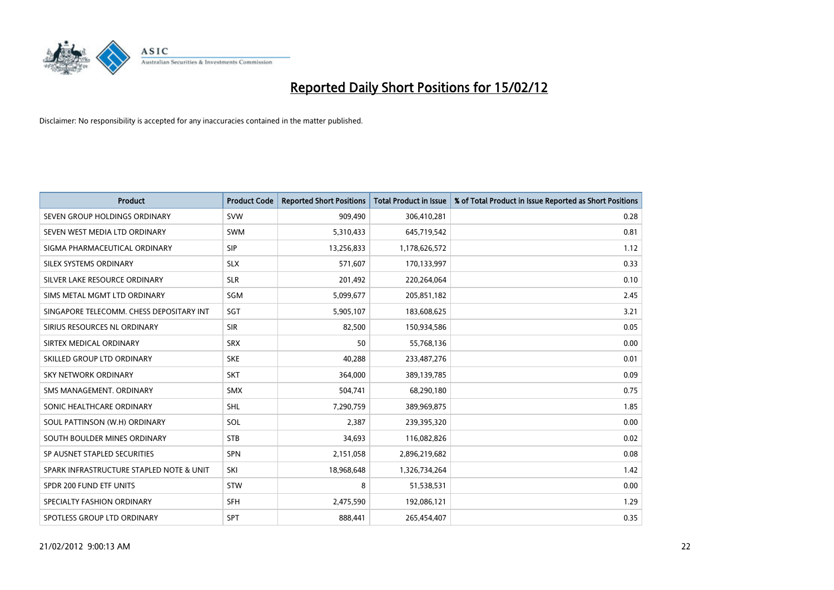

| <b>Product</b>                           | <b>Product Code</b> | <b>Reported Short Positions</b> | <b>Total Product in Issue</b> | % of Total Product in Issue Reported as Short Positions |
|------------------------------------------|---------------------|---------------------------------|-------------------------------|---------------------------------------------------------|
| SEVEN GROUP HOLDINGS ORDINARY            | <b>SVW</b>          | 909,490                         | 306,410,281                   | 0.28                                                    |
| SEVEN WEST MEDIA LTD ORDINARY            | <b>SWM</b>          | 5,310,433                       | 645,719,542                   | 0.81                                                    |
| SIGMA PHARMACEUTICAL ORDINARY            | <b>SIP</b>          | 13,256,833                      | 1,178,626,572                 | 1.12                                                    |
| SILEX SYSTEMS ORDINARY                   | <b>SLX</b>          | 571,607                         | 170,133,997                   | 0.33                                                    |
| SILVER LAKE RESOURCE ORDINARY            | <b>SLR</b>          | 201,492                         | 220,264,064                   | 0.10                                                    |
| SIMS METAL MGMT LTD ORDINARY             | SGM                 | 5,099,677                       | 205,851,182                   | 2.45                                                    |
| SINGAPORE TELECOMM. CHESS DEPOSITARY INT | <b>SGT</b>          | 5,905,107                       | 183,608,625                   | 3.21                                                    |
| SIRIUS RESOURCES NL ORDINARY             | <b>SIR</b>          | 82,500                          | 150,934,586                   | 0.05                                                    |
| SIRTEX MEDICAL ORDINARY                  | <b>SRX</b>          | 50                              | 55,768,136                    | 0.00                                                    |
| SKILLED GROUP LTD ORDINARY               | <b>SKE</b>          | 40,288                          | 233,487,276                   | 0.01                                                    |
| SKY NETWORK ORDINARY                     | <b>SKT</b>          | 364,000                         | 389,139,785                   | 0.09                                                    |
| SMS MANAGEMENT, ORDINARY                 | <b>SMX</b>          | 504,741                         | 68,290,180                    | 0.75                                                    |
| SONIC HEALTHCARE ORDINARY                | <b>SHL</b>          | 7,290,759                       | 389,969,875                   | 1.85                                                    |
| SOUL PATTINSON (W.H) ORDINARY            | SOL                 | 2,387                           | 239,395,320                   | 0.00                                                    |
| SOUTH BOULDER MINES ORDINARY             | <b>STB</b>          | 34,693                          | 116,082,826                   | 0.02                                                    |
| SP AUSNET STAPLED SECURITIES             | SPN                 | 2,151,058                       | 2,896,219,682                 | 0.08                                                    |
| SPARK INFRASTRUCTURE STAPLED NOTE & UNIT | SKI                 | 18,968,648                      | 1,326,734,264                 | 1.42                                                    |
| SPDR 200 FUND ETF UNITS                  | <b>STW</b>          | 8                               | 51,538,531                    | 0.00                                                    |
| SPECIALTY FASHION ORDINARY               | <b>SFH</b>          | 2,475,590                       | 192,086,121                   | 1.29                                                    |
| SPOTLESS GROUP LTD ORDINARY              | SPT                 | 888,441                         | 265,454,407                   | 0.35                                                    |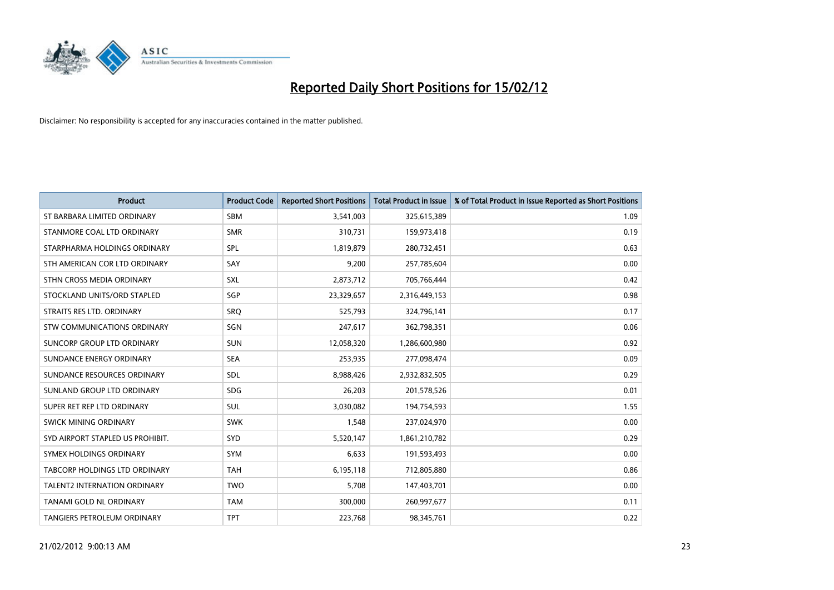

| <b>Product</b>                      | <b>Product Code</b> | <b>Reported Short Positions</b> | <b>Total Product in Issue</b> | % of Total Product in Issue Reported as Short Positions |
|-------------------------------------|---------------------|---------------------------------|-------------------------------|---------------------------------------------------------|
| ST BARBARA LIMITED ORDINARY         | <b>SBM</b>          | 3,541,003                       | 325,615,389                   | 1.09                                                    |
| STANMORE COAL LTD ORDINARY          | <b>SMR</b>          | 310,731                         | 159,973,418                   | 0.19                                                    |
| STARPHARMA HOLDINGS ORDINARY        | <b>SPL</b>          | 1,819,879                       | 280,732,451                   | 0.63                                                    |
| STH AMERICAN COR LTD ORDINARY       | SAY                 | 9,200                           | 257,785,604                   | 0.00                                                    |
| STHN CROSS MEDIA ORDINARY           | <b>SXL</b>          | 2,873,712                       | 705,766,444                   | 0.42                                                    |
| STOCKLAND UNITS/ORD STAPLED         | SGP                 | 23,329,657                      | 2,316,449,153                 | 0.98                                                    |
| STRAITS RES LTD. ORDINARY           | SRO                 | 525,793                         | 324,796,141                   | 0.17                                                    |
| STW COMMUNICATIONS ORDINARY         | SGN                 | 247,617                         | 362,798,351                   | 0.06                                                    |
| SUNCORP GROUP LTD ORDINARY          | <b>SUN</b>          | 12,058,320                      | 1,286,600,980                 | 0.92                                                    |
| SUNDANCE ENERGY ORDINARY            | <b>SEA</b>          | 253,935                         | 277,098,474                   | 0.09                                                    |
| SUNDANCE RESOURCES ORDINARY         | <b>SDL</b>          | 8,988,426                       | 2,932,832,505                 | 0.29                                                    |
| SUNLAND GROUP LTD ORDINARY          | <b>SDG</b>          | 26,203                          | 201,578,526                   | 0.01                                                    |
| SUPER RET REP LTD ORDINARY          | <b>SUL</b>          | 3,030,082                       | 194,754,593                   | 1.55                                                    |
| SWICK MINING ORDINARY               | <b>SWK</b>          | 1,548                           | 237,024,970                   | 0.00                                                    |
| SYD AIRPORT STAPLED US PROHIBIT.    | SYD                 | 5,520,147                       | 1,861,210,782                 | 0.29                                                    |
| SYMEX HOLDINGS ORDINARY             | SYM                 | 6,633                           | 191,593,493                   | 0.00                                                    |
| TABCORP HOLDINGS LTD ORDINARY       | <b>TAH</b>          | 6,195,118                       | 712,805,880                   | 0.86                                                    |
| <b>TALENT2 INTERNATION ORDINARY</b> | <b>TWO</b>          | 5,708                           | 147,403,701                   | 0.00                                                    |
| <b>TANAMI GOLD NL ORDINARY</b>      | <b>TAM</b>          | 300,000                         | 260,997,677                   | 0.11                                                    |
| TANGIERS PETROLEUM ORDINARY         | <b>TPT</b>          | 223,768                         | 98,345,761                    | 0.22                                                    |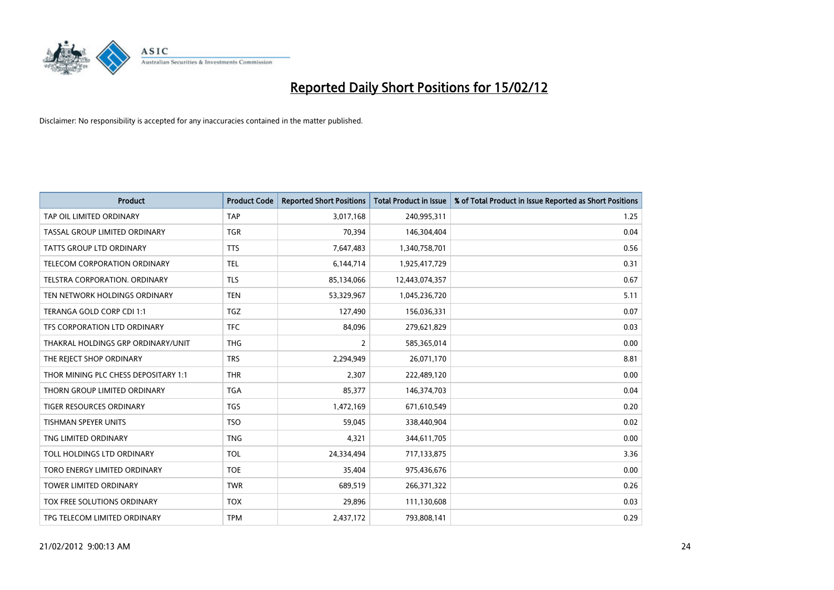

| <b>Product</b>                       | <b>Product Code</b> | <b>Reported Short Positions</b> | <b>Total Product in Issue</b> | % of Total Product in Issue Reported as Short Positions |
|--------------------------------------|---------------------|---------------------------------|-------------------------------|---------------------------------------------------------|
| TAP OIL LIMITED ORDINARY             | <b>TAP</b>          | 3,017,168                       | 240,995,311                   | 1.25                                                    |
| TASSAL GROUP LIMITED ORDINARY        | <b>TGR</b>          | 70,394                          | 146,304,404                   | 0.04                                                    |
| <b>TATTS GROUP LTD ORDINARY</b>      | <b>TTS</b>          | 7,647,483                       | 1,340,758,701                 | 0.56                                                    |
| TELECOM CORPORATION ORDINARY         | <b>TEL</b>          | 6,144,714                       | 1,925,417,729                 | 0.31                                                    |
| TELSTRA CORPORATION, ORDINARY        | <b>TLS</b>          | 85,134,066                      | 12,443,074,357                | 0.67                                                    |
| TEN NETWORK HOLDINGS ORDINARY        | <b>TEN</b>          | 53,329,967                      | 1,045,236,720                 | 5.11                                                    |
| TERANGA GOLD CORP CDI 1:1            | <b>TGZ</b>          | 127,490                         | 156,036,331                   | 0.07                                                    |
| TFS CORPORATION LTD ORDINARY         | <b>TFC</b>          | 84,096                          | 279,621,829                   | 0.03                                                    |
| THAKRAL HOLDINGS GRP ORDINARY/UNIT   | <b>THG</b>          | $\overline{2}$                  | 585,365,014                   | 0.00                                                    |
| THE REJECT SHOP ORDINARY             | <b>TRS</b>          | 2,294,949                       | 26,071,170                    | 8.81                                                    |
| THOR MINING PLC CHESS DEPOSITARY 1:1 | <b>THR</b>          | 2,307                           | 222,489,120                   | 0.00                                                    |
| THORN GROUP LIMITED ORDINARY         | <b>TGA</b>          | 85,377                          | 146,374,703                   | 0.04                                                    |
| TIGER RESOURCES ORDINARY             | <b>TGS</b>          | 1,472,169                       | 671,610,549                   | 0.20                                                    |
| <b>TISHMAN SPEYER UNITS</b>          | <b>TSO</b>          | 59,045                          | 338,440,904                   | 0.02                                                    |
| TNG LIMITED ORDINARY                 | <b>TNG</b>          | 4,321                           | 344,611,705                   | 0.00                                                    |
| TOLL HOLDINGS LTD ORDINARY           | <b>TOL</b>          | 24,334,494                      | 717,133,875                   | 3.36                                                    |
| TORO ENERGY LIMITED ORDINARY         | <b>TOE</b>          | 35,404                          | 975,436,676                   | 0.00                                                    |
| TOWER LIMITED ORDINARY               | <b>TWR</b>          | 689,519                         | 266,371,322                   | 0.26                                                    |
| TOX FREE SOLUTIONS ORDINARY          | <b>TOX</b>          | 29,896                          | 111,130,608                   | 0.03                                                    |
| TPG TELECOM LIMITED ORDINARY         | <b>TPM</b>          | 2,437,172                       | 793,808,141                   | 0.29                                                    |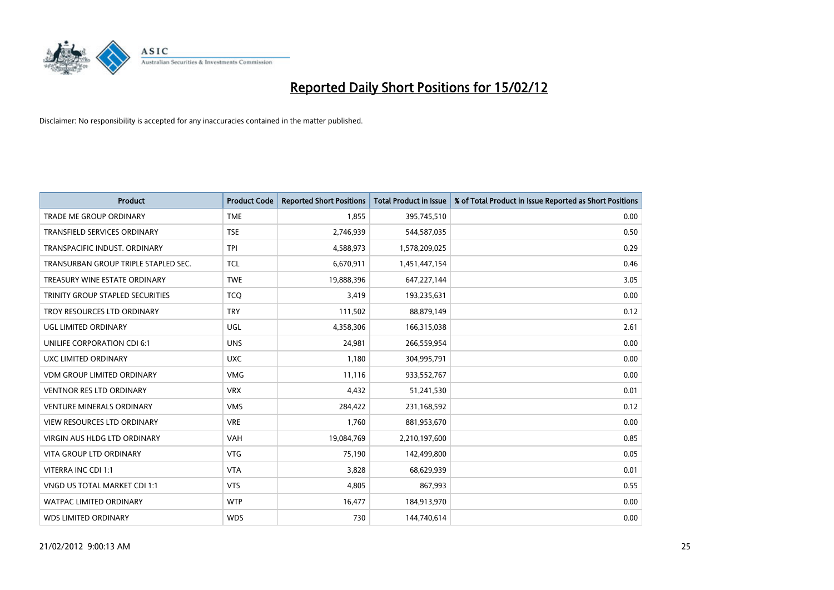

| <b>Product</b>                       | <b>Product Code</b> | <b>Reported Short Positions</b> | <b>Total Product in Issue</b> | % of Total Product in Issue Reported as Short Positions |
|--------------------------------------|---------------------|---------------------------------|-------------------------------|---------------------------------------------------------|
| <b>TRADE ME GROUP ORDINARY</b>       | <b>TME</b>          | 1,855                           | 395,745,510                   | 0.00                                                    |
| TRANSFIELD SERVICES ORDINARY         | <b>TSE</b>          | 2,746,939                       | 544,587,035                   | 0.50                                                    |
| TRANSPACIFIC INDUST. ORDINARY        | <b>TPI</b>          | 4,588,973                       | 1,578,209,025                 | 0.29                                                    |
| TRANSURBAN GROUP TRIPLE STAPLED SEC. | <b>TCL</b>          | 6,670,911                       | 1,451,447,154                 | 0.46                                                    |
| TREASURY WINE ESTATE ORDINARY        | <b>TWE</b>          | 19,888,396                      | 647,227,144                   | 3.05                                                    |
| TRINITY GROUP STAPLED SECURITIES     | <b>TCQ</b>          | 3,419                           | 193,235,631                   | 0.00                                                    |
| TROY RESOURCES LTD ORDINARY          | <b>TRY</b>          | 111,502                         | 88,879,149                    | 0.12                                                    |
| UGL LIMITED ORDINARY                 | UGL                 | 4,358,306                       | 166,315,038                   | 2.61                                                    |
| UNILIFE CORPORATION CDI 6:1          | <b>UNS</b>          | 24,981                          | 266,559,954                   | 0.00                                                    |
| UXC LIMITED ORDINARY                 | <b>UXC</b>          | 1,180                           | 304,995,791                   | 0.00                                                    |
| VDM GROUP LIMITED ORDINARY           | <b>VMG</b>          | 11,116                          | 933,552,767                   | 0.00                                                    |
| <b>VENTNOR RES LTD ORDINARY</b>      | <b>VRX</b>          | 4,432                           | 51,241,530                    | 0.01                                                    |
| <b>VENTURE MINERALS ORDINARY</b>     | <b>VMS</b>          | 284,422                         | 231,168,592                   | 0.12                                                    |
| <b>VIEW RESOURCES LTD ORDINARY</b>   | <b>VRE</b>          | 1,760                           | 881,953,670                   | 0.00                                                    |
| <b>VIRGIN AUS HLDG LTD ORDINARY</b>  | <b>VAH</b>          | 19,084,769                      | 2,210,197,600                 | 0.85                                                    |
| VITA GROUP LTD ORDINARY              | <b>VTG</b>          | 75,190                          | 142,499,800                   | 0.05                                                    |
| VITERRA INC CDI 1:1                  | <b>VTA</b>          | 3,828                           | 68,629,939                    | 0.01                                                    |
| VNGD US TOTAL MARKET CDI 1:1         | <b>VTS</b>          | 4,805                           | 867,993                       | 0.55                                                    |
| <b>WATPAC LIMITED ORDINARY</b>       | <b>WTP</b>          | 16,477                          | 184,913,970                   | 0.00                                                    |
| <b>WDS LIMITED ORDINARY</b>          | <b>WDS</b>          | 730                             | 144,740,614                   | 0.00                                                    |